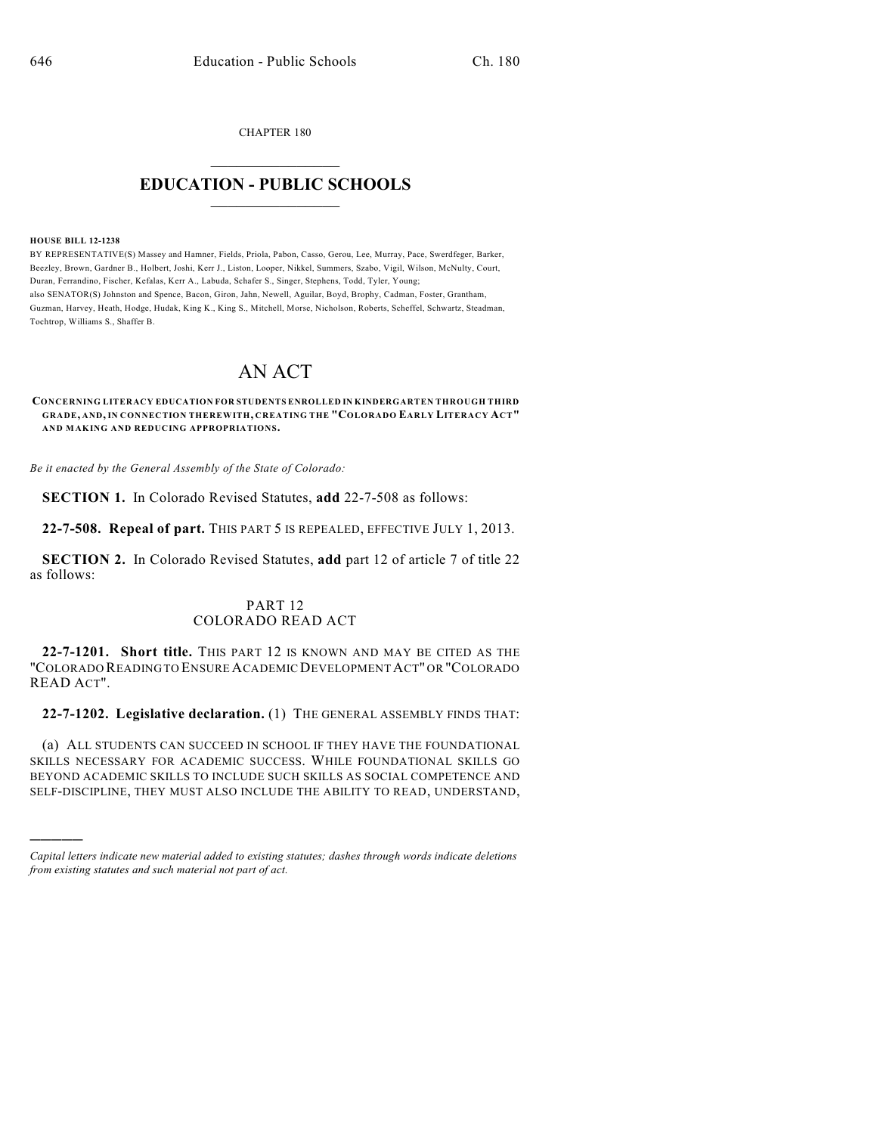CHAPTER 180

## $\mathcal{L}_\text{max}$  . The set of the set of the set of the set of the set of the set of the set of the set of the set of the set of the set of the set of the set of the set of the set of the set of the set of the set of the set **EDUCATION - PUBLIC SCHOOLS**  $\_$   $\_$   $\_$   $\_$   $\_$   $\_$   $\_$   $\_$   $\_$

#### **HOUSE BILL 12-1238**

)))))

BY REPRESENTATIVE(S) Massey and Hamner, Fields, Priola, Pabon, Casso, Gerou, Lee, Murray, Pace, Swerdfeger, Barker, Beezley, Brown, Gardner B., Holbert, Joshi, Kerr J., Liston, Looper, Nikkel, Summers, Szabo, Vigil, Wilson, McNulty, Court, Duran, Ferrandino, Fischer, Kefalas, Kerr A., Labuda, Schafer S., Singer, Stephens, Todd, Tyler, Young; also SENATOR(S) Johnston and Spence, Bacon, Giron, Jahn, Newell, Aguilar, Boyd, Brophy, Cadman, Foster, Grantham, Guzman, Harvey, Heath, Hodge, Hudak, King K., King S., Mitchell, Morse, Nicholson, Roberts, Scheffel, Schwartz, Steadman, Tochtrop, Williams S., Shaffer B.

# AN ACT

**CONCERNING LITERACY EDUCATION FOR STUDENTS ENROLLED IN KINDERGARTEN THROUGH THIRD GRADE, AND, IN CONNECTION THEREWITH, CREATING THE "COLORADO EARLY LITERACY ACT" AND MAKING AND REDUCING APPROPRIATIONS.**

*Be it enacted by the General Assembly of the State of Colorado:*

**SECTION 1.** In Colorado Revised Statutes, **add** 22-7-508 as follows:

**22-7-508. Repeal of part.** THIS PART 5 IS REPEALED, EFFECTIVE JULY 1, 2013.

**SECTION 2.** In Colorado Revised Statutes, **add** part 12 of article 7 of title 22 as follows:

## PART 12 COLORADO READ ACT

**22-7-1201. Short title.** THIS PART 12 IS KNOWN AND MAY BE CITED AS THE "COLORADO READING TO ENSURE ACADEMIC DEVELOPMENTACT" OR "COLORADO READ ACT".

**22-7-1202. Legislative declaration.** (1) THE GENERAL ASSEMBLY FINDS THAT:

(a) ALL STUDENTS CAN SUCCEED IN SCHOOL IF THEY HAVE THE FOUNDATIONAL SKILLS NECESSARY FOR ACADEMIC SUCCESS. WHILE FOUNDATIONAL SKILLS GO BEYOND ACADEMIC SKILLS TO INCLUDE SUCH SKILLS AS SOCIAL COMPETENCE AND SELF-DISCIPLINE, THEY MUST ALSO INCLUDE THE ABILITY TO READ, UNDERSTAND,

*Capital letters indicate new material added to existing statutes; dashes through words indicate deletions from existing statutes and such material not part of act.*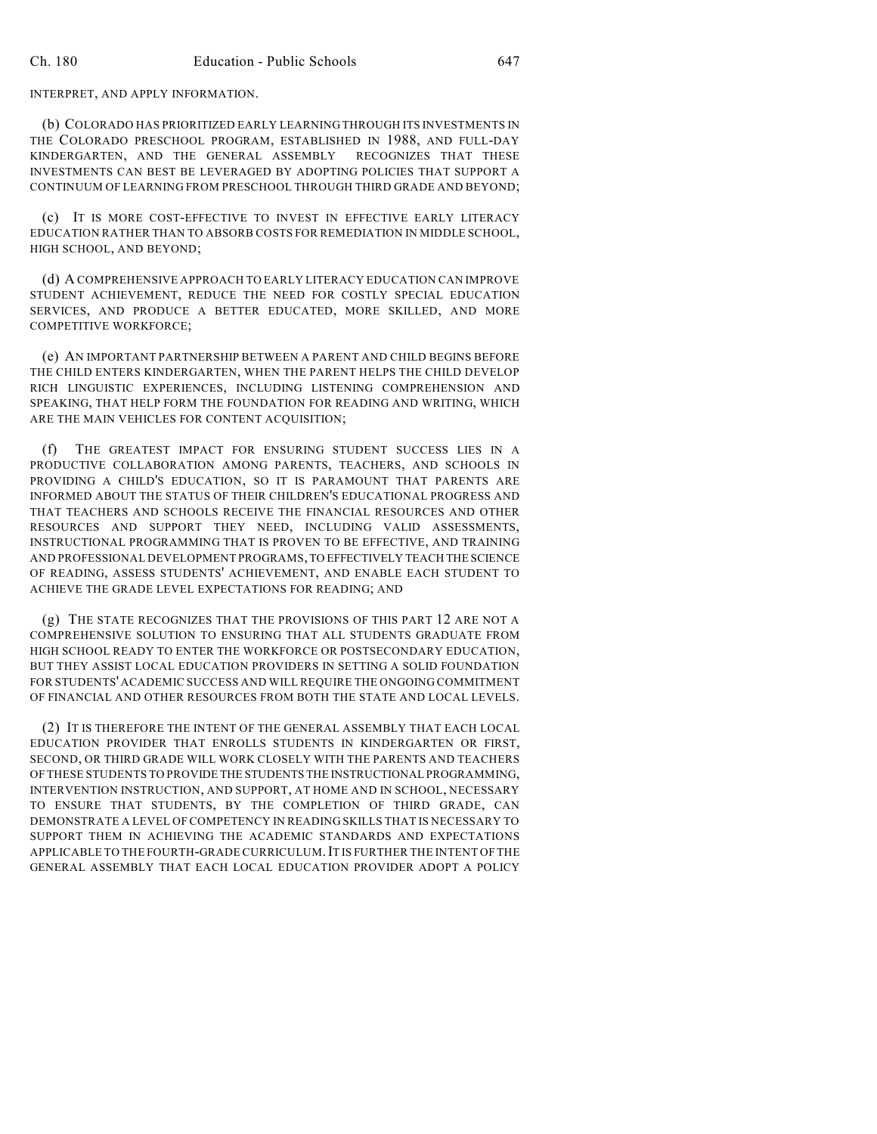### INTERPRET, AND APPLY INFORMATION.

(b) COLORADO HAS PRIORITIZED EARLY LEARNING THROUGH ITS INVESTMENTS IN THE COLORADO PRESCHOOL PROGRAM, ESTABLISHED IN 1988, AND FULL-DAY KINDERGARTEN, AND THE GENERAL ASSEMBLY RECOGNIZES THAT THESE INVESTMENTS CAN BEST BE LEVERAGED BY ADOPTING POLICIES THAT SUPPORT A CONTINUUM OF LEARNING FROM PRESCHOOL THROUGH THIRD GRADE AND BEYOND;

(c) IT IS MORE COST-EFFECTIVE TO INVEST IN EFFECTIVE EARLY LITERACY EDUCATION RATHER THAN TO ABSORB COSTS FOR REMEDIATION IN MIDDLE SCHOOL, HIGH SCHOOL, AND BEYOND;

(d) A COMPREHENSIVE APPROACH TO EARLY LITERACY EDUCATION CAN IMPROVE STUDENT ACHIEVEMENT, REDUCE THE NEED FOR COSTLY SPECIAL EDUCATION SERVICES, AND PRODUCE A BETTER EDUCATED, MORE SKILLED, AND MORE COMPETITIVE WORKFORCE;

(e) AN IMPORTANT PARTNERSHIP BETWEEN A PARENT AND CHILD BEGINS BEFORE THE CHILD ENTERS KINDERGARTEN, WHEN THE PARENT HELPS THE CHILD DEVELOP RICH LINGUISTIC EXPERIENCES, INCLUDING LISTENING COMPREHENSION AND SPEAKING, THAT HELP FORM THE FOUNDATION FOR READING AND WRITING, WHICH ARE THE MAIN VEHICLES FOR CONTENT ACQUISITION;

(f) THE GREATEST IMPACT FOR ENSURING STUDENT SUCCESS LIES IN A PRODUCTIVE COLLABORATION AMONG PARENTS, TEACHERS, AND SCHOOLS IN PROVIDING A CHILD'S EDUCATION, SO IT IS PARAMOUNT THAT PARENTS ARE INFORMED ABOUT THE STATUS OF THEIR CHILDREN'S EDUCATIONAL PROGRESS AND THAT TEACHERS AND SCHOOLS RECEIVE THE FINANCIAL RESOURCES AND OTHER RESOURCES AND SUPPORT THEY NEED, INCLUDING VALID ASSESSMENTS, INSTRUCTIONAL PROGRAMMING THAT IS PROVEN TO BE EFFECTIVE, AND TRAINING AND PROFESSIONAL DEVELOPMENT PROGRAMS, TO EFFECTIVELY TEACH THE SCIENCE OF READING, ASSESS STUDENTS' ACHIEVEMENT, AND ENABLE EACH STUDENT TO ACHIEVE THE GRADE LEVEL EXPECTATIONS FOR READING; AND

(g) THE STATE RECOGNIZES THAT THE PROVISIONS OF THIS PART 12 ARE NOT A COMPREHENSIVE SOLUTION TO ENSURING THAT ALL STUDENTS GRADUATE FROM HIGH SCHOOL READY TO ENTER THE WORKFORCE OR POSTSECONDARY EDUCATION, BUT THEY ASSIST LOCAL EDUCATION PROVIDERS IN SETTING A SOLID FOUNDATION FOR STUDENTS' ACADEMIC SUCCESS AND WILL REQUIRE THE ONGOING COMMITMENT OF FINANCIAL AND OTHER RESOURCES FROM BOTH THE STATE AND LOCAL LEVELS.

(2) IT IS THEREFORE THE INTENT OF THE GENERAL ASSEMBLY THAT EACH LOCAL EDUCATION PROVIDER THAT ENROLLS STUDENTS IN KINDERGARTEN OR FIRST, SECOND, OR THIRD GRADE WILL WORK CLOSELY WITH THE PARENTS AND TEACHERS OF THESE STUDENTS TO PROVIDE THE STUDENTS THE INSTRUCTIONAL PROGRAMMING, INTERVENTION INSTRUCTION, AND SUPPORT, AT HOME AND IN SCHOOL, NECESSARY TO ENSURE THAT STUDENTS, BY THE COMPLETION OF THIRD GRADE, CAN DEMONSTRATE A LEVEL OF COMPETENCY IN READING SKILLS THAT IS NECESSARY TO SUPPORT THEM IN ACHIEVING THE ACADEMIC STANDARDS AND EXPECTATIONS APPLICABLE TO THE FOURTH-GRADE CURRICULUM.IT IS FURTHER THE INTENT OF THE GENERAL ASSEMBLY THAT EACH LOCAL EDUCATION PROVIDER ADOPT A POLICY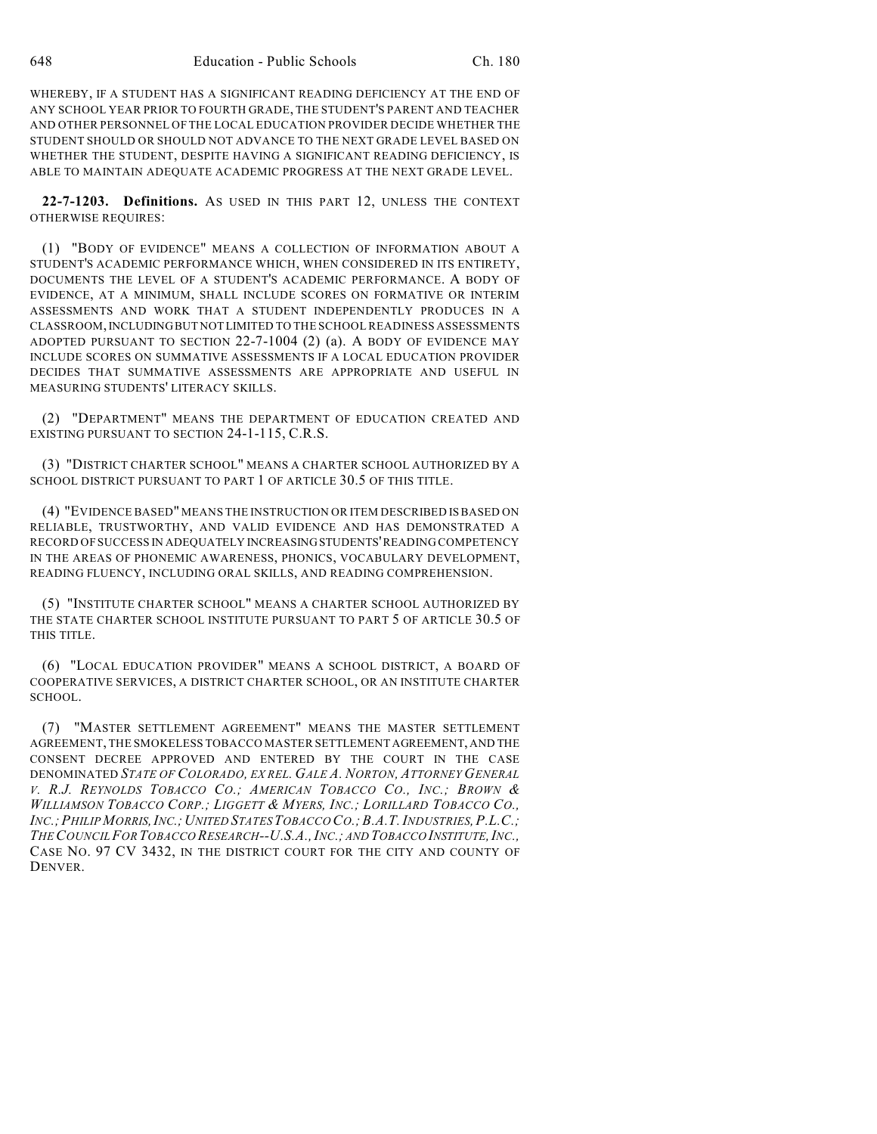WHEREBY, IF A STUDENT HAS A SIGNIFICANT READING DEFICIENCY AT THE END OF ANY SCHOOL YEAR PRIOR TO FOURTH GRADE, THE STUDENT'S PARENT AND TEACHER AND OTHER PERSONNEL OF THE LOCAL EDUCATION PROVIDER DECIDE WHETHER THE STUDENT SHOULD OR SHOULD NOT ADVANCE TO THE NEXT GRADE LEVEL BASED ON WHETHER THE STUDENT, DESPITE HAVING A SIGNIFICANT READING DEFICIENCY, IS ABLE TO MAINTAIN ADEQUATE ACADEMIC PROGRESS AT THE NEXT GRADE LEVEL.

**22-7-1203. Definitions.** AS USED IN THIS PART 12, UNLESS THE CONTEXT OTHERWISE REQUIRES:

(1) "BODY OF EVIDENCE" MEANS A COLLECTION OF INFORMATION ABOUT A STUDENT'S ACADEMIC PERFORMANCE WHICH, WHEN CONSIDERED IN ITS ENTIRETY, DOCUMENTS THE LEVEL OF A STUDENT'S ACADEMIC PERFORMANCE. A BODY OF EVIDENCE, AT A MINIMUM, SHALL INCLUDE SCORES ON FORMATIVE OR INTERIM ASSESSMENTS AND WORK THAT A STUDENT INDEPENDENTLY PRODUCES IN A CLASSROOM,INCLUDINGBUT NOT LIMITED TO THE SCHOOL READINESS ASSESSMENTS ADOPTED PURSUANT TO SECTION 22-7-1004 (2) (a). A BODY OF EVIDENCE MAY INCLUDE SCORES ON SUMMATIVE ASSESSMENTS IF A LOCAL EDUCATION PROVIDER DECIDES THAT SUMMATIVE ASSESSMENTS ARE APPROPRIATE AND USEFUL IN MEASURING STUDENTS' LITERACY SKILLS.

(2) "DEPARTMENT" MEANS THE DEPARTMENT OF EDUCATION CREATED AND EXISTING PURSUANT TO SECTION 24-1-115, C.R.S.

(3) "DISTRICT CHARTER SCHOOL" MEANS A CHARTER SCHOOL AUTHORIZED BY A SCHOOL DISTRICT PURSUANT TO PART 1 OF ARTICLE 30.5 OF THIS TITLE.

(4) "EVIDENCE BASED" MEANS THE INSTRUCTION OR ITEM DESCRIBED ISBASED ON RELIABLE, TRUSTWORTHY, AND VALID EVIDENCE AND HAS DEMONSTRATED A RECORD OF SUCCESS IN ADEQUATELY INCREASINGSTUDENTS'READING COMPETENCY IN THE AREAS OF PHONEMIC AWARENESS, PHONICS, VOCABULARY DEVELOPMENT, READING FLUENCY, INCLUDING ORAL SKILLS, AND READING COMPREHENSION.

(5) "INSTITUTE CHARTER SCHOOL" MEANS A CHARTER SCHOOL AUTHORIZED BY THE STATE CHARTER SCHOOL INSTITUTE PURSUANT TO PART 5 OF ARTICLE 30.5 OF THIS TITLE.

(6) "LOCAL EDUCATION PROVIDER" MEANS A SCHOOL DISTRICT, A BOARD OF COOPERATIVE SERVICES, A DISTRICT CHARTER SCHOOL, OR AN INSTITUTE CHARTER SCHOOL.

(7) "MASTER SETTLEMENT AGREEMENT" MEANS THE MASTER SETTLEMENT AGREEMENT, THE SMOKELESS TOBACCO MASTER SETTLEMENT AGREEMENT, AND THE CONSENT DECREE APPROVED AND ENTERED BY THE COURT IN THE CASE DENOMINATED *STATE OF COLORADO, EX REL. GALE A. NORTON, ATTORNEY GENERAL* V. R.J. REYNOLDS TOBACCO CO.; AMERICAN TOBACCO CO., INC.; BROWN & WILLIAMSON TOBACCO CORP.; LIGGETT & MYERS, INC.; LORILLARD TOBACCO CO., *INC.;PHILIP MORRIS,INC.;UNITED STATESTOBACCO CO.;B.A.T.INDUSTRIES,P.L.C.; THECOUNCILFOR TOBACCO RESEARCH--U.S.A.,INC.; AND TOBACCO INSTITUTE,INC.,* CASE NO. 97 CV 3432, IN THE DISTRICT COURT FOR THE CITY AND COUNTY OF DENVER.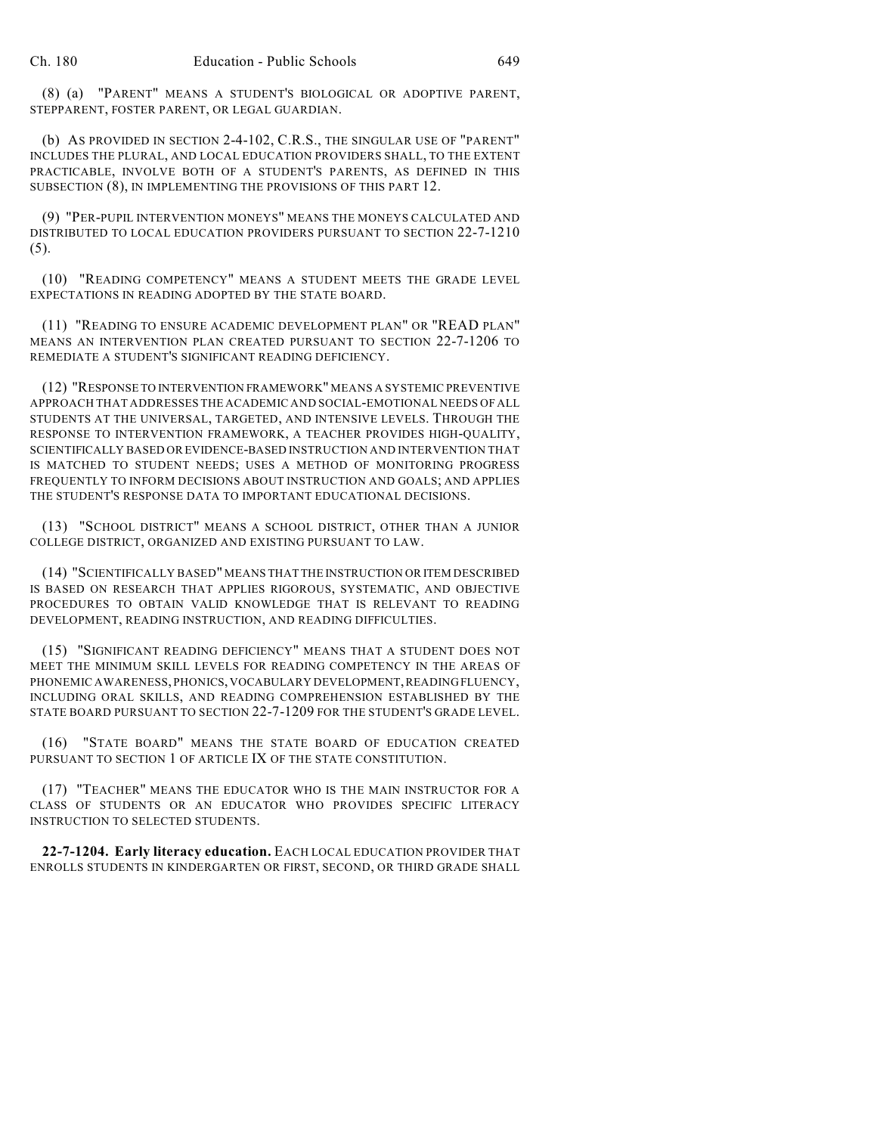(8) (a) "PARENT" MEANS A STUDENT'S BIOLOGICAL OR ADOPTIVE PARENT, STEPPARENT, FOSTER PARENT, OR LEGAL GUARDIAN.

(b) AS PROVIDED IN SECTION 2-4-102, C.R.S., THE SINGULAR USE OF "PARENT" INCLUDES THE PLURAL, AND LOCAL EDUCATION PROVIDERS SHALL, TO THE EXTENT PRACTICABLE, INVOLVE BOTH OF A STUDENT'S PARENTS, AS DEFINED IN THIS SUBSECTION (8), IN IMPLEMENTING THE PROVISIONS OF THIS PART 12.

(9) "PER-PUPIL INTERVENTION MONEYS" MEANS THE MONEYS CALCULATED AND DISTRIBUTED TO LOCAL EDUCATION PROVIDERS PURSUANT TO SECTION 22-7-1210  $(5)$ .

(10) "READING COMPETENCY" MEANS A STUDENT MEETS THE GRADE LEVEL EXPECTATIONS IN READING ADOPTED BY THE STATE BOARD.

(11) "READING TO ENSURE ACADEMIC DEVELOPMENT PLAN" OR "READ PLAN" MEANS AN INTERVENTION PLAN CREATED PURSUANT TO SECTION 22-7-1206 TO REMEDIATE A STUDENT'S SIGNIFICANT READING DEFICIENCY.

(12) "RESPONSE TO INTERVENTION FRAMEWORK" MEANS A SYSTEMIC PREVENTIVE APPROACH THAT ADDRESSES THE ACADEMIC AND SOCIAL-EMOTIONAL NEEDS OF ALL STUDENTS AT THE UNIVERSAL, TARGETED, AND INTENSIVE LEVELS. THROUGH THE RESPONSE TO INTERVENTION FRAMEWORK, A TEACHER PROVIDES HIGH-QUALITY, SCIENTIFICALLY BASED OR EVIDENCE-BASED INSTRUCTION AND INTERVENTION THAT IS MATCHED TO STUDENT NEEDS; USES A METHOD OF MONITORING PROGRESS FREQUENTLY TO INFORM DECISIONS ABOUT INSTRUCTION AND GOALS; AND APPLIES THE STUDENT'S RESPONSE DATA TO IMPORTANT EDUCATIONAL DECISIONS.

(13) "SCHOOL DISTRICT" MEANS A SCHOOL DISTRICT, OTHER THAN A JUNIOR COLLEGE DISTRICT, ORGANIZED AND EXISTING PURSUANT TO LAW.

(14) "SCIENTIFICALLY BASED" MEANS THAT THE INSTRUCTION OR ITEM DESCRIBED IS BASED ON RESEARCH THAT APPLIES RIGOROUS, SYSTEMATIC, AND OBJECTIVE PROCEDURES TO OBTAIN VALID KNOWLEDGE THAT IS RELEVANT TO READING DEVELOPMENT, READING INSTRUCTION, AND READING DIFFICULTIES.

(15) "SIGNIFICANT READING DEFICIENCY" MEANS THAT A STUDENT DOES NOT MEET THE MINIMUM SKILL LEVELS FOR READING COMPETENCY IN THE AREAS OF PHONEMIC AWARENESS, PHONICS, VOCABULARY DEVELOPMENT, READING FLUENCY, INCLUDING ORAL SKILLS, AND READING COMPREHENSION ESTABLISHED BY THE STATE BOARD PURSUANT TO SECTION 22-7-1209 FOR THE STUDENT'S GRADE LEVEL.

(16) "STATE BOARD" MEANS THE STATE BOARD OF EDUCATION CREATED PURSUANT TO SECTION 1 OF ARTICLE IX OF THE STATE CONSTITUTION.

(17) "TEACHER" MEANS THE EDUCATOR WHO IS THE MAIN INSTRUCTOR FOR A CLASS OF STUDENTS OR AN EDUCATOR WHO PROVIDES SPECIFIC LITERACY INSTRUCTION TO SELECTED STUDENTS.

**22-7-1204. Early literacy education.** EACH LOCAL EDUCATION PROVIDER THAT ENROLLS STUDENTS IN KINDERGARTEN OR FIRST, SECOND, OR THIRD GRADE SHALL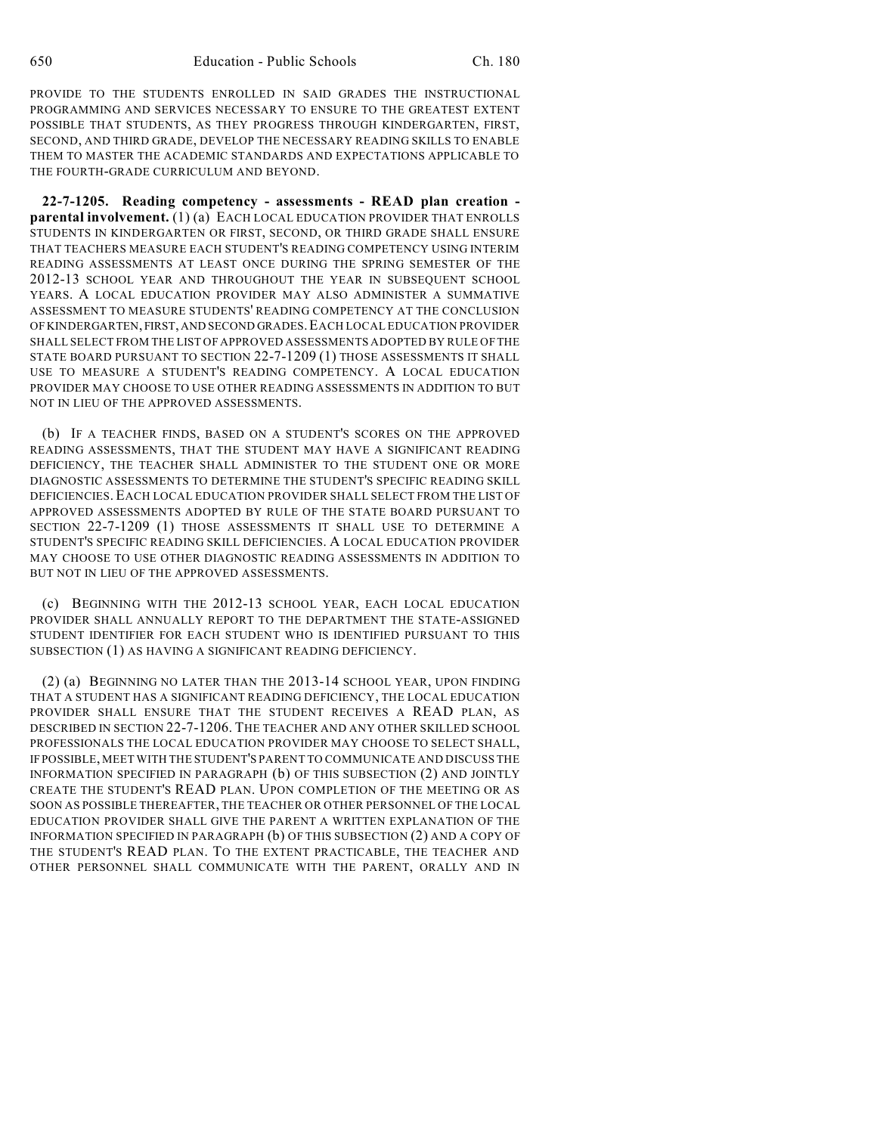PROVIDE TO THE STUDENTS ENROLLED IN SAID GRADES THE INSTRUCTIONAL PROGRAMMING AND SERVICES NECESSARY TO ENSURE TO THE GREATEST EXTENT POSSIBLE THAT STUDENTS, AS THEY PROGRESS THROUGH KINDERGARTEN, FIRST, SECOND, AND THIRD GRADE, DEVELOP THE NECESSARY READING SKILLS TO ENABLE THEM TO MASTER THE ACADEMIC STANDARDS AND EXPECTATIONS APPLICABLE TO THE FOURTH-GRADE CURRICULUM AND BEYOND.

**22-7-1205. Reading competency - assessments - READ plan creation parental involvement.** (1) (a) EACH LOCAL EDUCATION PROVIDER THAT ENROLLS STUDENTS IN KINDERGARTEN OR FIRST, SECOND, OR THIRD GRADE SHALL ENSURE THAT TEACHERS MEASURE EACH STUDENT'S READING COMPETENCY USING INTERIM READING ASSESSMENTS AT LEAST ONCE DURING THE SPRING SEMESTER OF THE 2012-13 SCHOOL YEAR AND THROUGHOUT THE YEAR IN SUBSEQUENT SCHOOL YEARS. A LOCAL EDUCATION PROVIDER MAY ALSO ADMINISTER A SUMMATIVE ASSESSMENT TO MEASURE STUDENTS' READING COMPETENCY AT THE CONCLUSION OF KINDERGARTEN, FIRST, AND SECOND GRADES.EACH LOCAL EDUCATION PROVIDER SHALL SELECT FROM THE LIST OF APPROVED ASSESSMENTS ADOPTED BY RULE OFTHE STATE BOARD PURSUANT TO SECTION 22-7-1209 (1) THOSE ASSESSMENTS IT SHALL USE TO MEASURE A STUDENT'S READING COMPETENCY. A LOCAL EDUCATION PROVIDER MAY CHOOSE TO USE OTHER READING ASSESSMENTS IN ADDITION TO BUT NOT IN LIEU OF THE APPROVED ASSESSMENTS.

(b) IF A TEACHER FINDS, BASED ON A STUDENT'S SCORES ON THE APPROVED READING ASSESSMENTS, THAT THE STUDENT MAY HAVE A SIGNIFICANT READING DEFICIENCY, THE TEACHER SHALL ADMINISTER TO THE STUDENT ONE OR MORE DIAGNOSTIC ASSESSMENTS TO DETERMINE THE STUDENT'S SPECIFIC READING SKILL DEFICIENCIES. EACH LOCAL EDUCATION PROVIDER SHALL SELECT FROM THE LIST OF APPROVED ASSESSMENTS ADOPTED BY RULE OF THE STATE BOARD PURSUANT TO SECTION 22-7-1209 (1) THOSE ASSESSMENTS IT SHALL USE TO DETERMINE A STUDENT'S SPECIFIC READING SKILL DEFICIENCIES. A LOCAL EDUCATION PROVIDER MAY CHOOSE TO USE OTHER DIAGNOSTIC READING ASSESSMENTS IN ADDITION TO BUT NOT IN LIEU OF THE APPROVED ASSESSMENTS.

(c) BEGINNING WITH THE 2012-13 SCHOOL YEAR, EACH LOCAL EDUCATION PROVIDER SHALL ANNUALLY REPORT TO THE DEPARTMENT THE STATE-ASSIGNED STUDENT IDENTIFIER FOR EACH STUDENT WHO IS IDENTIFIED PURSUANT TO THIS SUBSECTION (1) AS HAVING A SIGNIFICANT READING DEFICIENCY.

(2) (a) BEGINNING NO LATER THAN THE 2013-14 SCHOOL YEAR, UPON FINDING THAT A STUDENT HAS A SIGNIFICANT READING DEFICIENCY, THE LOCAL EDUCATION PROVIDER SHALL ENSURE THAT THE STUDENT RECEIVES A READ PLAN, AS DESCRIBED IN SECTION 22-7-1206. THE TEACHER AND ANY OTHER SKILLED SCHOOL PROFESSIONALS THE LOCAL EDUCATION PROVIDER MAY CHOOSE TO SELECT SHALL, IF POSSIBLE, MEET WITH THE STUDENT'S PARENT TO COMMUNICATE AND DISCUSS THE INFORMATION SPECIFIED IN PARAGRAPH (b) OF THIS SUBSECTION (2) AND JOINTLY CREATE THE STUDENT'S READ PLAN. UPON COMPLETION OF THE MEETING OR AS SOON AS POSSIBLE THEREAFTER, THE TEACHER OR OTHER PERSONNEL OF THE LOCAL EDUCATION PROVIDER SHALL GIVE THE PARENT A WRITTEN EXPLANATION OF THE INFORMATION SPECIFIED IN PARAGRAPH (b) OF THIS SUBSECTION (2) AND A COPY OF THE STUDENT'S READ PLAN. TO THE EXTENT PRACTICABLE, THE TEACHER AND OTHER PERSONNEL SHALL COMMUNICATE WITH THE PARENT, ORALLY AND IN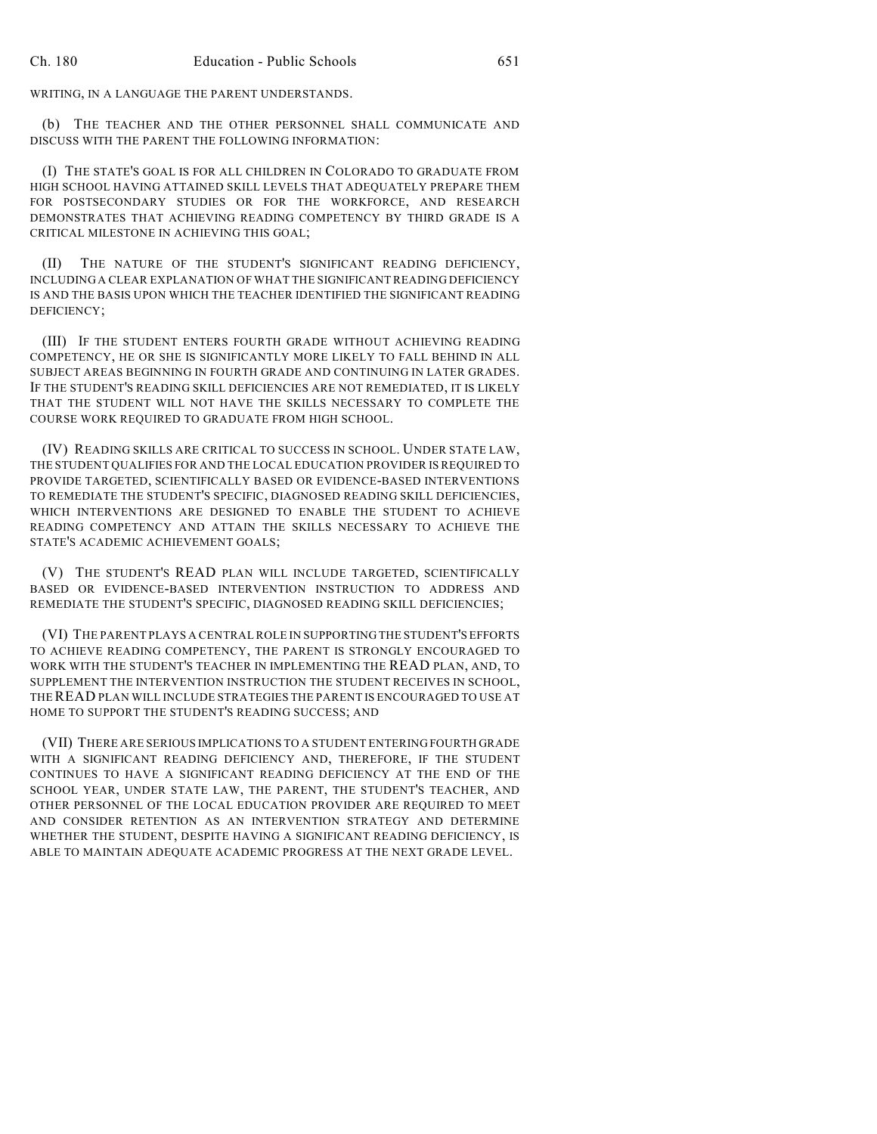WRITING, IN A LANGUAGE THE PARENT UNDERSTANDS.

(b) THE TEACHER AND THE OTHER PERSONNEL SHALL COMMUNICATE AND DISCUSS WITH THE PARENT THE FOLLOWING INFORMATION:

(I) THE STATE'S GOAL IS FOR ALL CHILDREN IN COLORADO TO GRADUATE FROM HIGH SCHOOL HAVING ATTAINED SKILL LEVELS THAT ADEQUATELY PREPARE THEM FOR POSTSECONDARY STUDIES OR FOR THE WORKFORCE, AND RESEARCH DEMONSTRATES THAT ACHIEVING READING COMPETENCY BY THIRD GRADE IS A CRITICAL MILESTONE IN ACHIEVING THIS GOAL;

(II) THE NATURE OF THE STUDENT'S SIGNIFICANT READING DEFICIENCY, INCLUDING A CLEAR EXPLANATION OF WHAT THE SIGNIFICANT READING DEFICIENCY IS AND THE BASIS UPON WHICH THE TEACHER IDENTIFIED THE SIGNIFICANT READING DEFICIENCY;

(III) IF THE STUDENT ENTERS FOURTH GRADE WITHOUT ACHIEVING READING COMPETENCY, HE OR SHE IS SIGNIFICANTLY MORE LIKELY TO FALL BEHIND IN ALL SUBJECT AREAS BEGINNING IN FOURTH GRADE AND CONTINUING IN LATER GRADES. IF THE STUDENT'S READING SKILL DEFICIENCIES ARE NOT REMEDIATED, IT IS LIKELY THAT THE STUDENT WILL NOT HAVE THE SKILLS NECESSARY TO COMPLETE THE COURSE WORK REQUIRED TO GRADUATE FROM HIGH SCHOOL.

(IV) READING SKILLS ARE CRITICAL TO SUCCESS IN SCHOOL. UNDER STATE LAW, THE STUDENT QUALIFIES FOR AND THE LOCAL EDUCATION PROVIDER IS REQUIRED TO PROVIDE TARGETED, SCIENTIFICALLY BASED OR EVIDENCE-BASED INTERVENTIONS TO REMEDIATE THE STUDENT'S SPECIFIC, DIAGNOSED READING SKILL DEFICIENCIES, WHICH INTERVENTIONS ARE DESIGNED TO ENABLE THE STUDENT TO ACHIEVE READING COMPETENCY AND ATTAIN THE SKILLS NECESSARY TO ACHIEVE THE STATE'S ACADEMIC ACHIEVEMENT GOALS;

(V) THE STUDENT'S READ PLAN WILL INCLUDE TARGETED, SCIENTIFICALLY BASED OR EVIDENCE-BASED INTERVENTION INSTRUCTION TO ADDRESS AND REMEDIATE THE STUDENT'S SPECIFIC, DIAGNOSED READING SKILL DEFICIENCIES;

(VI) THE PARENT PLAYS A CENTRAL ROLE IN SUPPORTING THE STUDENT'S EFFORTS TO ACHIEVE READING COMPETENCY, THE PARENT IS STRONGLY ENCOURAGED TO WORK WITH THE STUDENT'S TEACHER IN IMPLEMENTING THE READ PLAN, AND, TO SUPPLEMENT THE INTERVENTION INSTRUCTION THE STUDENT RECEIVES IN SCHOOL, THEREAD PLAN WILL INCLUDE STRATEGIES THE PARENT IS ENCOURAGED TO USE AT HOME TO SUPPORT THE STUDENT'S READING SUCCESS; AND

(VII) THERE ARE SERIOUS IMPLICATIONS TO A STUDENT ENTERING FOURTH GRADE WITH A SIGNIFICANT READING DEFICIENCY AND, THEREFORE, IF THE STUDENT CONTINUES TO HAVE A SIGNIFICANT READING DEFICIENCY AT THE END OF THE SCHOOL YEAR, UNDER STATE LAW, THE PARENT, THE STUDENT'S TEACHER, AND OTHER PERSONNEL OF THE LOCAL EDUCATION PROVIDER ARE REQUIRED TO MEET AND CONSIDER RETENTION AS AN INTERVENTION STRATEGY AND DETERMINE WHETHER THE STUDENT, DESPITE HAVING A SIGNIFICANT READING DEFICIENCY, IS ABLE TO MAINTAIN ADEQUATE ACADEMIC PROGRESS AT THE NEXT GRADE LEVEL.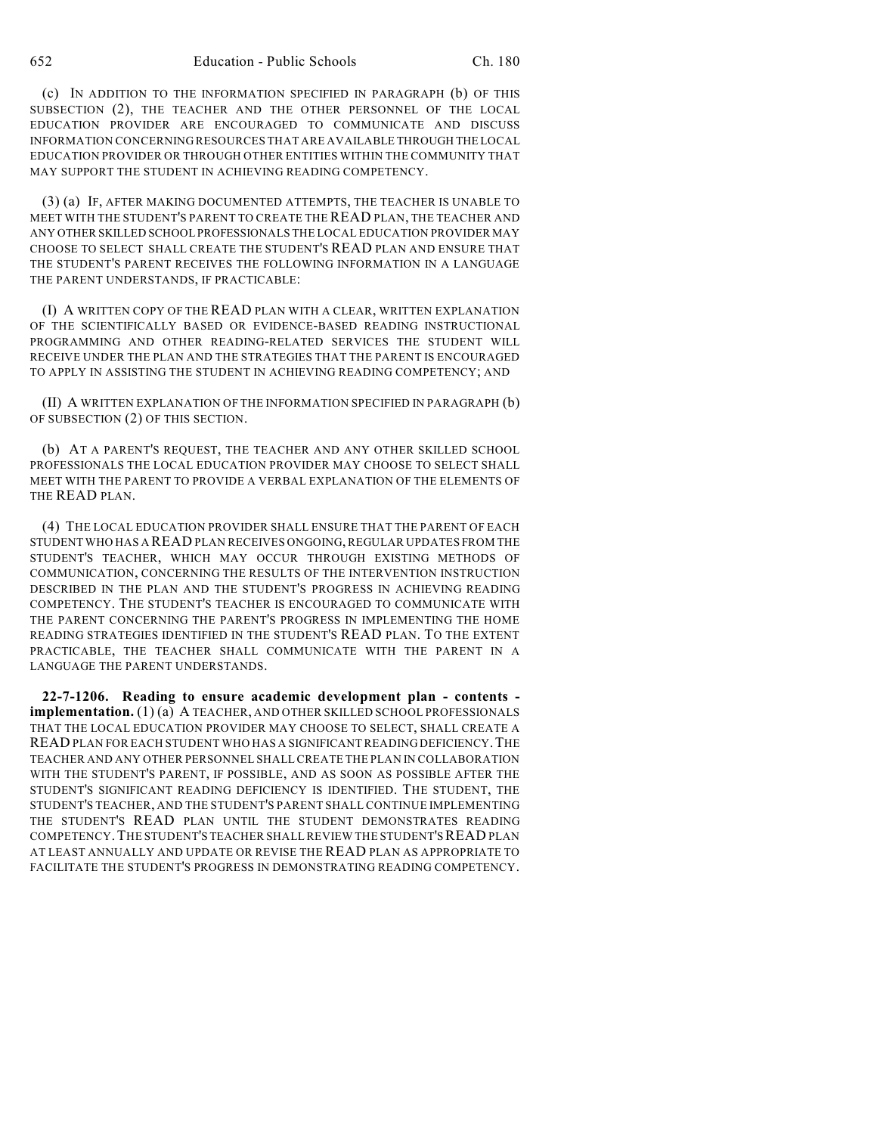(c) IN ADDITION TO THE INFORMATION SPECIFIED IN PARAGRAPH (b) OF THIS SUBSECTION (2), THE TEACHER AND THE OTHER PERSONNEL OF THE LOCAL EDUCATION PROVIDER ARE ENCOURAGED TO COMMUNICATE AND DISCUSS INFORMATION CONCERNING RESOURCES THAT ARE AVAILABLE THROUGH THE LOCAL EDUCATION PROVIDER OR THROUGH OTHER ENTITIES WITHIN THE COMMUNITY THAT MAY SUPPORT THE STUDENT IN ACHIEVING READING COMPETENCY.

(3) (a) IF, AFTER MAKING DOCUMENTED ATTEMPTS, THE TEACHER IS UNABLE TO MEET WITH THE STUDENT'S PARENT TO CREATE THE READ PLAN, THE TEACHER AND ANY OTHER SKILLED SCHOOL PROFESSIONALS THE LOCAL EDUCATION PROVIDER MAY CHOOSE TO SELECT SHALL CREATE THE STUDENT'S READ PLAN AND ENSURE THAT THE STUDENT'S PARENT RECEIVES THE FOLLOWING INFORMATION IN A LANGUAGE THE PARENT UNDERSTANDS, IF PRACTICABLE:

(I) A WRITTEN COPY OF THE READ PLAN WITH A CLEAR, WRITTEN EXPLANATION OF THE SCIENTIFICALLY BASED OR EVIDENCE-BASED READING INSTRUCTIONAL PROGRAMMING AND OTHER READING-RELATED SERVICES THE STUDENT WILL RECEIVE UNDER THE PLAN AND THE STRATEGIES THAT THE PARENT IS ENCOURAGED TO APPLY IN ASSISTING THE STUDENT IN ACHIEVING READING COMPETENCY; AND

(II) A WRITTEN EXPLANATION OF THE INFORMATION SPECIFIED IN PARAGRAPH (b) OF SUBSECTION (2) OF THIS SECTION.

(b) AT A PARENT'S REQUEST, THE TEACHER AND ANY OTHER SKILLED SCHOOL PROFESSIONALS THE LOCAL EDUCATION PROVIDER MAY CHOOSE TO SELECT SHALL MEET WITH THE PARENT TO PROVIDE A VERBAL EXPLANATION OF THE ELEMENTS OF THE READ PLAN.

(4) THE LOCAL EDUCATION PROVIDER SHALL ENSURE THAT THE PARENT OF EACH STUDENT WHO HAS A READ PLAN RECEIVES ONGOING, REGULAR UPDATES FROM THE STUDENT'S TEACHER, WHICH MAY OCCUR THROUGH EXISTING METHODS OF COMMUNICATION, CONCERNING THE RESULTS OF THE INTERVENTION INSTRUCTION DESCRIBED IN THE PLAN AND THE STUDENT'S PROGRESS IN ACHIEVING READING COMPETENCY. THE STUDENT'S TEACHER IS ENCOURAGED TO COMMUNICATE WITH THE PARENT CONCERNING THE PARENT'S PROGRESS IN IMPLEMENTING THE HOME READING STRATEGIES IDENTIFIED IN THE STUDENT'S READ PLAN. TO THE EXTENT PRACTICABLE, THE TEACHER SHALL COMMUNICATE WITH THE PARENT IN A LANGUAGE THE PARENT UNDERSTANDS.

**22-7-1206. Reading to ensure academic development plan - contents implementation.** (1) (a) A TEACHER, AND OTHER SKILLED SCHOOL PROFESSIONALS THAT THE LOCAL EDUCATION PROVIDER MAY CHOOSE TO SELECT, SHALL CREATE A READ PLAN FOR EACH STUDENT WHO HAS A SIGNIFICANT READING DEFICIENCY.THE TEACHER AND ANY OTHER PERSONNEL SHALLCREATE THE PLAN IN COLLABORATION WITH THE STUDENT'S PARENT, IF POSSIBLE, AND AS SOON AS POSSIBLE AFTER THE STUDENT'S SIGNIFICANT READING DEFICIENCY IS IDENTIFIED. THE STUDENT, THE STUDENT'S TEACHER, AND THE STUDENT'S PARENT SHALL CONTINUE IMPLEMENTING THE STUDENT'S READ PLAN UNTIL THE STUDENT DEMONSTRATES READING COMPETENCY.THE STUDENT'S TEACHER SHALLREVIEW THE STUDENT'SREAD PLAN AT LEAST ANNUALLY AND UPDATE OR REVISE THE READ PLAN AS APPROPRIATE TO FACILITATE THE STUDENT'S PROGRESS IN DEMONSTRATING READING COMPETENCY.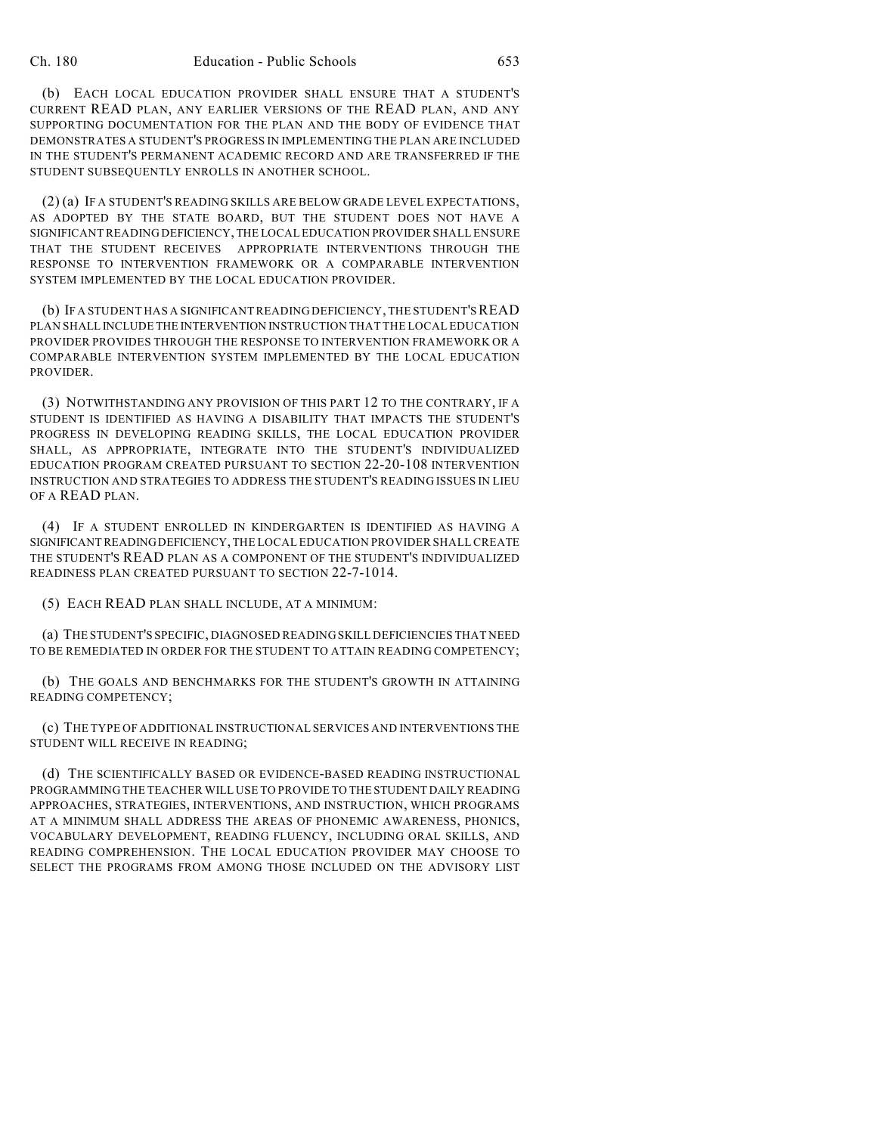(b) EACH LOCAL EDUCATION PROVIDER SHALL ENSURE THAT A STUDENT'S CURRENT READ PLAN, ANY EARLIER VERSIONS OF THE READ PLAN, AND ANY SUPPORTING DOCUMENTATION FOR THE PLAN AND THE BODY OF EVIDENCE THAT DEMONSTRATES A STUDENT'S PROGRESS IN IMPLEMENTING THE PLAN ARE INCLUDED IN THE STUDENT'S PERMANENT ACADEMIC RECORD AND ARE TRANSFERRED IF THE STUDENT SUBSEQUENTLY ENROLLS IN ANOTHER SCHOOL.

(2) (a) IF A STUDENT'S READING SKILLS ARE BELOW GRADE LEVEL EXPECTATIONS, AS ADOPTED BY THE STATE BOARD, BUT THE STUDENT DOES NOT HAVE A SIGNIFICANT READING DEFICIENCY, THE LOCAL EDUCATION PROVIDER SHALL ENSURE THAT THE STUDENT RECEIVES APPROPRIATE INTERVENTIONS THROUGH THE RESPONSE TO INTERVENTION FRAMEWORK OR A COMPARABLE INTERVENTION SYSTEM IMPLEMENTED BY THE LOCAL EDUCATION PROVIDER.

(b) IF A STUDENT HAS A SIGNIFICANTREADING DEFICIENCY, THE STUDENT'SREAD PLAN SHALL INCLUDE THE INTERVENTION INSTRUCTION THAT THE LOCAL EDUCATION PROVIDER PROVIDES THROUGH THE RESPONSE TO INTERVENTION FRAMEWORK OR A COMPARABLE INTERVENTION SYSTEM IMPLEMENTED BY THE LOCAL EDUCATION PROVIDER.

(3) NOTWITHSTANDING ANY PROVISION OF THIS PART 12 TO THE CONTRARY, IF A STUDENT IS IDENTIFIED AS HAVING A DISABILITY THAT IMPACTS THE STUDENT'S PROGRESS IN DEVELOPING READING SKILLS, THE LOCAL EDUCATION PROVIDER SHALL, AS APPROPRIATE, INTEGRATE INTO THE STUDENT'S INDIVIDUALIZED EDUCATION PROGRAM CREATED PURSUANT TO SECTION 22-20-108 INTERVENTION INSTRUCTION AND STRATEGIES TO ADDRESS THE STUDENT'S READING ISSUES IN LIEU OF A READ PLAN.

(4) IF A STUDENT ENROLLED IN KINDERGARTEN IS IDENTIFIED AS HAVING A SIGNIFICANT READINGDEFICIENCY,THE LOCAL EDUCATION PROVIDER SHALL CREATE THE STUDENT'S READ PLAN AS A COMPONENT OF THE STUDENT'S INDIVIDUALIZED READINESS PLAN CREATED PURSUANT TO SECTION 22-7-1014.

(5) EACH READ PLAN SHALL INCLUDE, AT A MINIMUM:

(a) THE STUDENT'S SPECIFIC, DIAGNOSED READING SKILL DEFICIENCIES THAT NEED TO BE REMEDIATED IN ORDER FOR THE STUDENT TO ATTAIN READING COMPETENCY;

(b) THE GOALS AND BENCHMARKS FOR THE STUDENT'S GROWTH IN ATTAINING READING COMPETENCY;

(c) THE TYPE OF ADDITIONAL INSTRUCTIONAL SERVICES AND INTERVENTIONS THE STUDENT WILL RECEIVE IN READING;

(d) THE SCIENTIFICALLY BASED OR EVIDENCE-BASED READING INSTRUCTIONAL PROGRAMMING THE TEACHER WILL USE TO PROVIDE TO THE STUDENT DAILY READING APPROACHES, STRATEGIES, INTERVENTIONS, AND INSTRUCTION, WHICH PROGRAMS AT A MINIMUM SHALL ADDRESS THE AREAS OF PHONEMIC AWARENESS, PHONICS, VOCABULARY DEVELOPMENT, READING FLUENCY, INCLUDING ORAL SKILLS, AND READING COMPREHENSION. THE LOCAL EDUCATION PROVIDER MAY CHOOSE TO SELECT THE PROGRAMS FROM AMONG THOSE INCLUDED ON THE ADVISORY LIST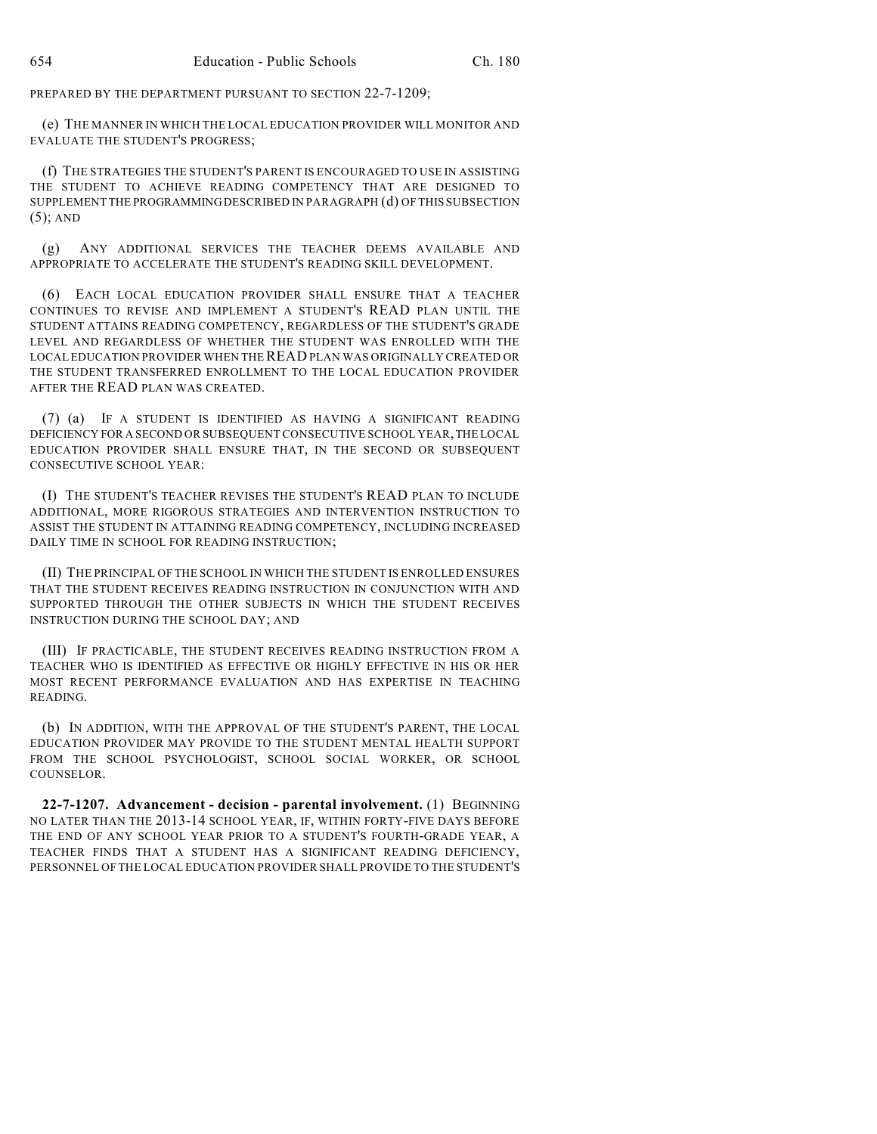PREPARED BY THE DEPARTMENT PURSUANT TO SECTION 22-7-1209;

(e) THE MANNER IN WHICH THE LOCAL EDUCATION PROVIDER WILL MONITOR AND EVALUATE THE STUDENT'S PROGRESS;

(f) THE STRATEGIES THE STUDENT'S PARENT IS ENCOURAGED TO USE IN ASSISTING THE STUDENT TO ACHIEVE READING COMPETENCY THAT ARE DESIGNED TO SUPPLEMENT THE PROGRAMMINGDESCRIBED IN PARAGRAPH (d) OF THIS SUBSECTION (5); AND

(g) ANY ADDITIONAL SERVICES THE TEACHER DEEMS AVAILABLE AND APPROPRIATE TO ACCELERATE THE STUDENT'S READING SKILL DEVELOPMENT.

(6) EACH LOCAL EDUCATION PROVIDER SHALL ENSURE THAT A TEACHER CONTINUES TO REVISE AND IMPLEMENT A STUDENT'S READ PLAN UNTIL THE STUDENT ATTAINS READING COMPETENCY, REGARDLESS OF THE STUDENT'S GRADE LEVEL AND REGARDLESS OF WHETHER THE STUDENT WAS ENROLLED WITH THE LOCAL EDUCATION PROVIDER WHEN THEREAD PLAN WAS ORIGINALLY CREATED OR THE STUDENT TRANSFERRED ENROLLMENT TO THE LOCAL EDUCATION PROVIDER AFTER THE READ PLAN WAS CREATED.

(7) (a) IF A STUDENT IS IDENTIFIED AS HAVING A SIGNIFICANT READING DEFICIENCY FOR A SECOND OR SUBSEQUENT CONSECUTIVE SCHOOL YEAR,THE LOCAL EDUCATION PROVIDER SHALL ENSURE THAT, IN THE SECOND OR SUBSEQUENT CONSECUTIVE SCHOOL YEAR:

(I) THE STUDENT'S TEACHER REVISES THE STUDENT'S READ PLAN TO INCLUDE ADDITIONAL, MORE RIGOROUS STRATEGIES AND INTERVENTION INSTRUCTION TO ASSIST THE STUDENT IN ATTAINING READING COMPETENCY, INCLUDING INCREASED DAILY TIME IN SCHOOL FOR READING INSTRUCTION;

(II) THE PRINCIPAL OF THE SCHOOL IN WHICH THE STUDENT IS ENROLLED ENSURES THAT THE STUDENT RECEIVES READING INSTRUCTION IN CONJUNCTION WITH AND SUPPORTED THROUGH THE OTHER SUBJECTS IN WHICH THE STUDENT RECEIVES INSTRUCTION DURING THE SCHOOL DAY; AND

(III) IF PRACTICABLE, THE STUDENT RECEIVES READING INSTRUCTION FROM A TEACHER WHO IS IDENTIFIED AS EFFECTIVE OR HIGHLY EFFECTIVE IN HIS OR HER MOST RECENT PERFORMANCE EVALUATION AND HAS EXPERTISE IN TEACHING READING.

(b) IN ADDITION, WITH THE APPROVAL OF THE STUDENT'S PARENT, THE LOCAL EDUCATION PROVIDER MAY PROVIDE TO THE STUDENT MENTAL HEALTH SUPPORT FROM THE SCHOOL PSYCHOLOGIST, SCHOOL SOCIAL WORKER, OR SCHOOL COUNSELOR.

**22-7-1207. Advancement - decision - parental involvement.** (1) BEGINNING NO LATER THAN THE 2013-14 SCHOOL YEAR, IF, WITHIN FORTY-FIVE DAYS BEFORE THE END OF ANY SCHOOL YEAR PRIOR TO A STUDENT'S FOURTH-GRADE YEAR, A TEACHER FINDS THAT A STUDENT HAS A SIGNIFICANT READING DEFICIENCY, PERSONNEL OF THE LOCAL EDUCATION PROVIDER SHALL PROVIDE TO THE STUDENT'S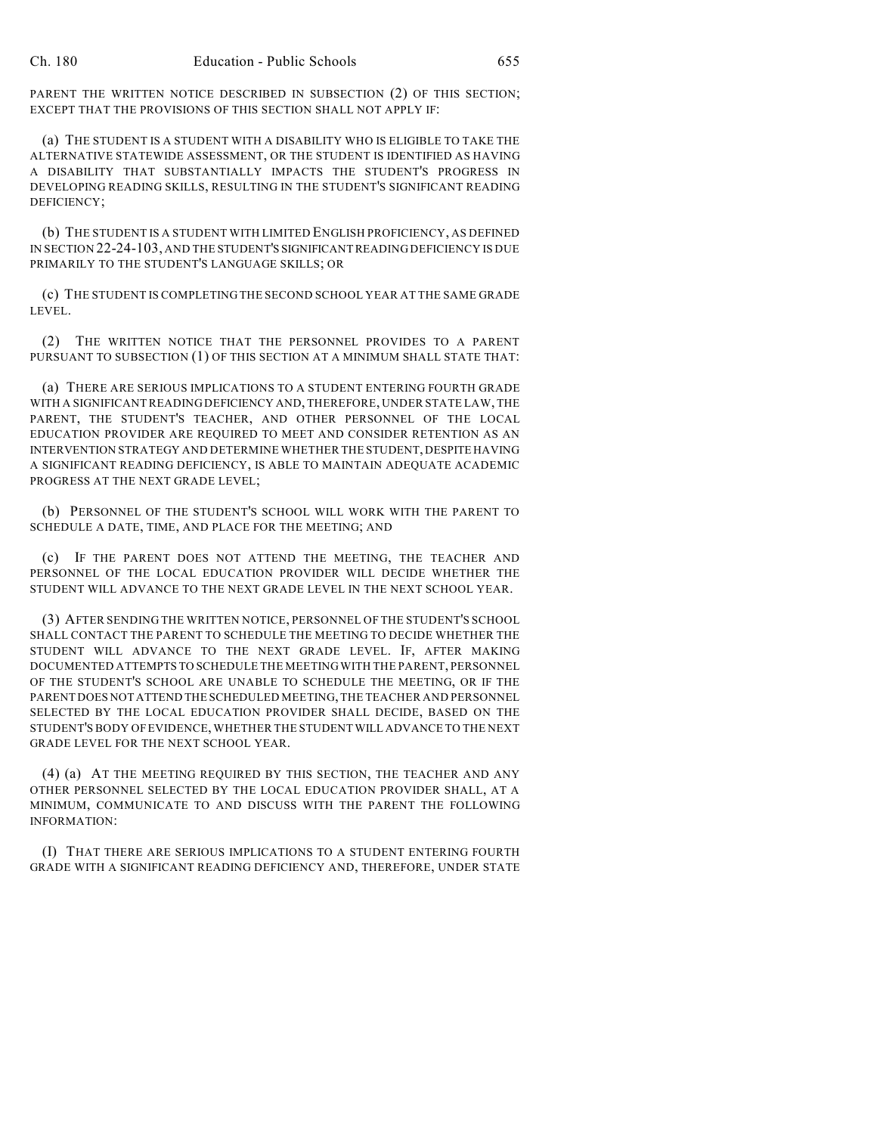PARENT THE WRITTEN NOTICE DESCRIBED IN SUBSECTION (2) OF THIS SECTION; EXCEPT THAT THE PROVISIONS OF THIS SECTION SHALL NOT APPLY IF:

(a) THE STUDENT IS A STUDENT WITH A DISABILITY WHO IS ELIGIBLE TO TAKE THE ALTERNATIVE STATEWIDE ASSESSMENT, OR THE STUDENT IS IDENTIFIED AS HAVING A DISABILITY THAT SUBSTANTIALLY IMPACTS THE STUDENT'S PROGRESS IN DEVELOPING READING SKILLS, RESULTING IN THE STUDENT'S SIGNIFICANT READING DEFICIENCY;

(b) THE STUDENT IS A STUDENT WITH LIMITED ENGLISH PROFICIENCY, AS DEFINED IN SECTION 22-24-103, AND THE STUDENT'S SIGNIFICANT READING DEFICIENCY IS DUE PRIMARILY TO THE STUDENT'S LANGUAGE SKILLS; OR

(c) THE STUDENT IS COMPLETING THE SECOND SCHOOL YEAR AT THE SAME GRADE LEVEL.

(2) THE WRITTEN NOTICE THAT THE PERSONNEL PROVIDES TO A PARENT PURSUANT TO SUBSECTION (1) OF THIS SECTION AT A MINIMUM SHALL STATE THAT:

(a) THERE ARE SERIOUS IMPLICATIONS TO A STUDENT ENTERING FOURTH GRADE WITH A SIGNIFICANTREADING DEFICIENCY AND, THEREFORE, UNDER STATE LAW, THE PARENT, THE STUDENT'S TEACHER, AND OTHER PERSONNEL OF THE LOCAL EDUCATION PROVIDER ARE REQUIRED TO MEET AND CONSIDER RETENTION AS AN INTERVENTION STRATEGY AND DETERMINE WHETHER THE STUDENT, DESPITE HAVING A SIGNIFICANT READING DEFICIENCY, IS ABLE TO MAINTAIN ADEQUATE ACADEMIC PROGRESS AT THE NEXT GRADE LEVEL;

(b) PERSONNEL OF THE STUDENT'S SCHOOL WILL WORK WITH THE PARENT TO SCHEDULE A DATE, TIME, AND PLACE FOR THE MEETING; AND

(c) IF THE PARENT DOES NOT ATTEND THE MEETING, THE TEACHER AND PERSONNEL OF THE LOCAL EDUCATION PROVIDER WILL DECIDE WHETHER THE STUDENT WILL ADVANCE TO THE NEXT GRADE LEVEL IN THE NEXT SCHOOL YEAR.

(3) AFTER SENDING THE WRITTEN NOTICE, PERSONNEL OF THE STUDENT'S SCHOOL SHALL CONTACT THE PARENT TO SCHEDULE THE MEETING TO DECIDE WHETHER THE STUDENT WILL ADVANCE TO THE NEXT GRADE LEVEL. IF, AFTER MAKING DOCUMENTED ATTEMPTS TO SCHEDULE THE MEETING WITH THE PARENT, PERSONNEL OF THE STUDENT'S SCHOOL ARE UNABLE TO SCHEDULE THE MEETING, OR IF THE PARENT DOES NOT ATTEND THE SCHEDULED MEETING, THE TEACHER AND PERSONNEL SELECTED BY THE LOCAL EDUCATION PROVIDER SHALL DECIDE, BASED ON THE STUDENT'S BODY OF EVIDENCE, WHETHER THE STUDENT WILL ADVANCE TO THE NEXT GRADE LEVEL FOR THE NEXT SCHOOL YEAR.

(4) (a) AT THE MEETING REQUIRED BY THIS SECTION, THE TEACHER AND ANY OTHER PERSONNEL SELECTED BY THE LOCAL EDUCATION PROVIDER SHALL, AT A MINIMUM, COMMUNICATE TO AND DISCUSS WITH THE PARENT THE FOLLOWING INFORMATION:

(I) THAT THERE ARE SERIOUS IMPLICATIONS TO A STUDENT ENTERING FOURTH GRADE WITH A SIGNIFICANT READING DEFICIENCY AND, THEREFORE, UNDER STATE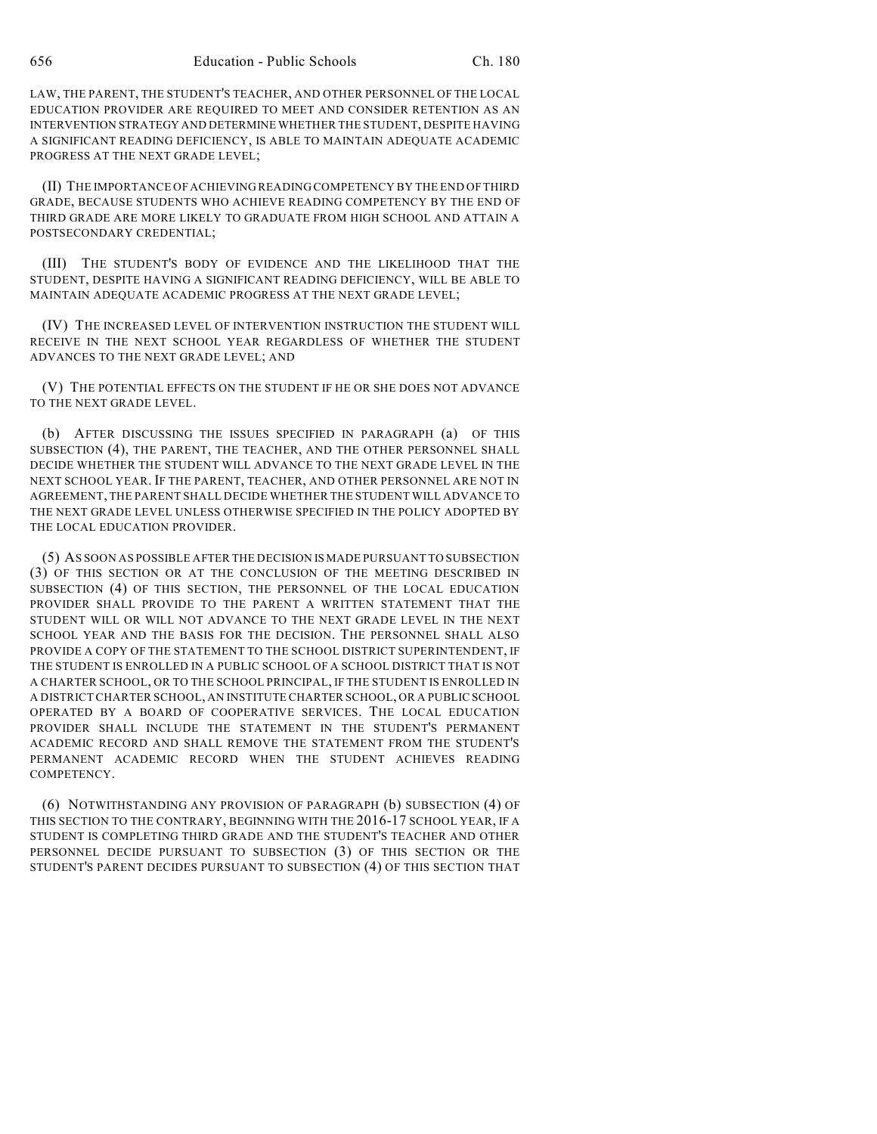LAW, THE PARENT, THE STUDENT'S TEACHER, AND OTHER PERSONNEL OF THE LOCAL EDUCATION PROVIDER ARE REQUIRED TO MEET AND CONSIDER RETENTION AS AN INTERVENTION STRATEGY AND DETERMINE WHETHER THE STUDENT, DESPITE HAVING A SIGNIFICANT READING DEFICIENCY, IS ABLE TO MAINTAIN ADEQUATE ACADEMIC PROGRESS AT THE NEXT GRADE LEVEL;

(II) THE IMPORTANCE OF ACHIEVING READING COMPETENCY BY THE END OF THIRD GRADE, BECAUSE STUDENTS WHO ACHIEVE READING COMPETENCY BY THE END OF THIRD GRADE ARE MORE LIKELY TO GRADUATE FROM HIGH SCHOOL AND ATTAIN A POSTSECONDARY CREDENTIAL;

(III) THE STUDENT'S BODY OF EVIDENCE AND THE LIKELIHOOD THAT THE STUDENT, DESPITE HAVING A SIGNIFICANT READING DEFICIENCY, WILL BE ABLE TO MAINTAIN ADEQUATE ACADEMIC PROGRESS AT THE NEXT GRADE LEVEL;

(IV) THE INCREASED LEVEL OF INTERVENTION INSTRUCTION THE STUDENT WILL RECEIVE IN THE NEXT SCHOOL YEAR REGARDLESS OF WHETHER THE STUDENT ADVANCES TO THE NEXT GRADE LEVEL; AND

(V) THE POTENTIAL EFFECTS ON THE STUDENT IF HE OR SHE DOES NOT ADVANCE TO THE NEXT GRADE LEVEL.

(b) AFTER DISCUSSING THE ISSUES SPECIFIED IN PARAGRAPH (a) OF THIS SUBSECTION (4), THE PARENT, THE TEACHER, AND THE OTHER PERSONNEL SHALL DECIDE WHETHER THE STUDENT WILL ADVANCE TO THE NEXT GRADE LEVEL IN THE NEXT SCHOOL YEAR. IF THE PARENT, TEACHER, AND OTHER PERSONNEL ARE NOT IN AGREEMENT, THE PARENT SHALL DECIDE WHETHER THE STUDENT WILL ADVANCE TO THE NEXT GRADE LEVEL UNLESS OTHERWISE SPECIFIED IN THE POLICY ADOPTED BY THE LOCAL EDUCATION PROVIDER.

(5) AS SOON AS POSSIBLE AFTER THE DECISION IS MADE PURSUANT TO SUBSECTION (3) OF THIS SECTION OR AT THE CONCLUSION OF THE MEETING DESCRIBED IN SUBSECTION (4) OF THIS SECTION, THE PERSONNEL OF THE LOCAL EDUCATION PROVIDER SHALL PROVIDE TO THE PARENT A WRITTEN STATEMENT THAT THE STUDENT WILL OR WILL NOT ADVANCE TO THE NEXT GRADE LEVEL IN THE NEXT SCHOOL YEAR AND THE BASIS FOR THE DECISION. THE PERSONNEL SHALL ALSO PROVIDE A COPY OF THE STATEMENT TO THE SCHOOL DISTRICT SUPERINTENDENT, IF THE STUDENT IS ENROLLED IN A PUBLIC SCHOOL OF A SCHOOL DISTRICT THAT IS NOT A CHARTER SCHOOL, OR TO THE SCHOOL PRINCIPAL, IF THE STUDENT IS ENROLLED IN A DISTRICT CHARTER SCHOOL, AN INSTITUTE CHARTER SCHOOL, OR A PUBLIC SCHOOL OPERATED BY A BOARD OF COOPERATIVE SERVICES. THE LOCAL EDUCATION PROVIDER SHALL INCLUDE THE STATEMENT IN THE STUDENT'S PERMANENT ACADEMIC RECORD AND SHALL REMOVE THE STATEMENT FROM THE STUDENT'S PERMANENT ACADEMIC RECORD WHEN THE STUDENT ACHIEVES READING COMPETENCY.

(6) NOTWITHSTANDING ANY PROVISION OF PARAGRAPH (b) SUBSECTION (4) OF THIS SECTION TO THE CONTRARY, BEGINNING WITH THE 2016-17 SCHOOL YEAR, IF A STUDENT IS COMPLETING THIRD GRADE AND THE STUDENT'S TEACHER AND OTHER PERSONNEL DECIDE PURSUANT TO SUBSECTION (3) OF THIS SECTION OR THE STUDENT'S PARENT DECIDES PURSUANT TO SUBSECTION (4) OF THIS SECTION THAT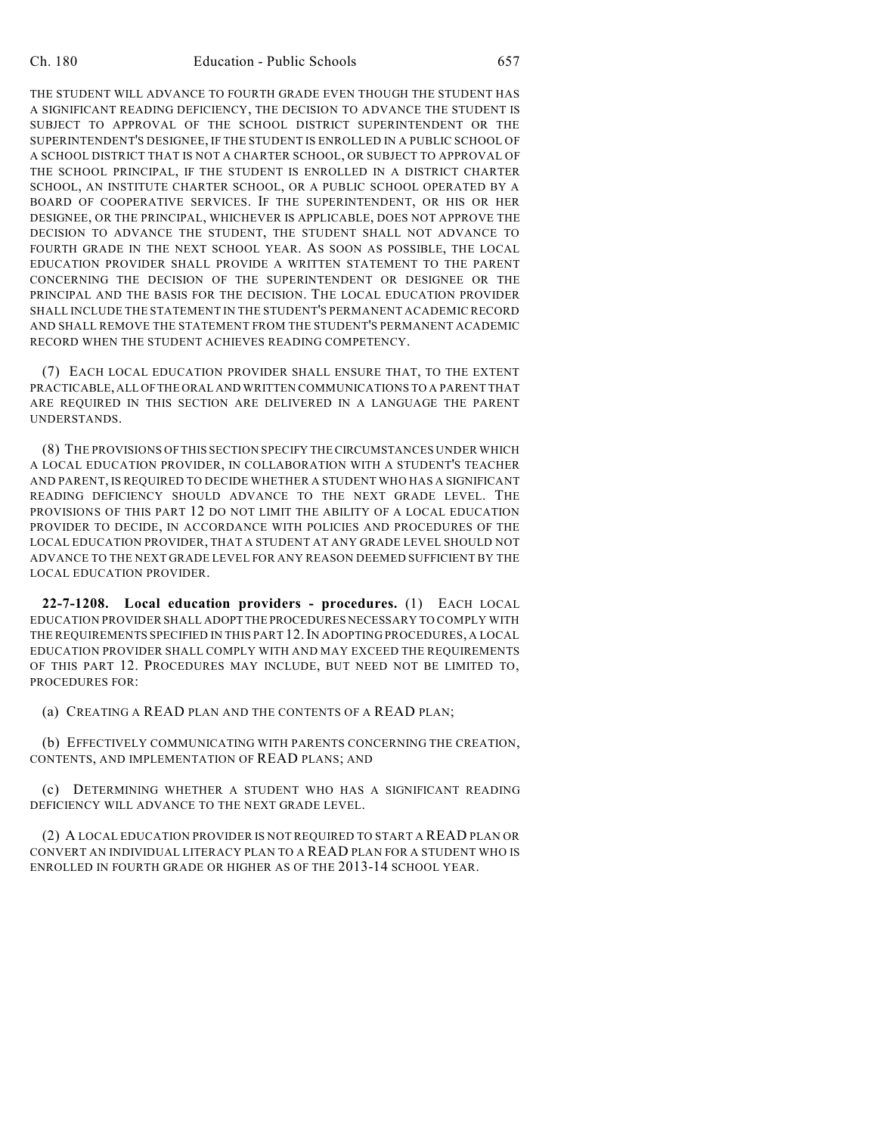THE STUDENT WILL ADVANCE TO FOURTH GRADE EVEN THOUGH THE STUDENT HAS A SIGNIFICANT READING DEFICIENCY, THE DECISION TO ADVANCE THE STUDENT IS SUBJECT TO APPROVAL OF THE SCHOOL DISTRICT SUPERINTENDENT OR THE SUPERINTENDENT'S DESIGNEE, IF THE STUDENT IS ENROLLED IN A PUBLIC SCHOOL OF A SCHOOL DISTRICT THAT IS NOT A CHARTER SCHOOL, OR SUBJECT TO APPROVAL OF THE SCHOOL PRINCIPAL, IF THE STUDENT IS ENROLLED IN A DISTRICT CHARTER SCHOOL, AN INSTITUTE CHARTER SCHOOL, OR A PUBLIC SCHOOL OPERATED BY A BOARD OF COOPERATIVE SERVICES. IF THE SUPERINTENDENT, OR HIS OR HER DESIGNEE, OR THE PRINCIPAL, WHICHEVER IS APPLICABLE, DOES NOT APPROVE THE DECISION TO ADVANCE THE STUDENT, THE STUDENT SHALL NOT ADVANCE TO FOURTH GRADE IN THE NEXT SCHOOL YEAR. AS SOON AS POSSIBLE, THE LOCAL EDUCATION PROVIDER SHALL PROVIDE A WRITTEN STATEMENT TO THE PARENT CONCERNING THE DECISION OF THE SUPERINTENDENT OR DESIGNEE OR THE PRINCIPAL AND THE BASIS FOR THE DECISION. THE LOCAL EDUCATION PROVIDER SHALL INCLUDE THE STATEMENT IN THE STUDENT'S PERMANENT ACADEMIC RECORD AND SHALL REMOVE THE STATEMENT FROM THE STUDENT'S PERMANENT ACADEMIC RECORD WHEN THE STUDENT ACHIEVES READING COMPETENCY.

(7) EACH LOCAL EDUCATION PROVIDER SHALL ENSURE THAT, TO THE EXTENT PRACTICABLE, ALL OFTHE ORAL AND WRITTEN COMMUNICATIONS TO A PARENT THAT ARE REQUIRED IN THIS SECTION ARE DELIVERED IN A LANGUAGE THE PARENT UNDERSTANDS.

(8) THE PROVISIONS OF THIS SECTION SPECIFY THE CIRCUMSTANCES UNDER WHICH A LOCAL EDUCATION PROVIDER, IN COLLABORATION WITH A STUDENT'S TEACHER AND PARENT, IS REQUIRED TO DECIDE WHETHER A STUDENT WHO HAS A SIGNIFICANT READING DEFICIENCY SHOULD ADVANCE TO THE NEXT GRADE LEVEL. THE PROVISIONS OF THIS PART 12 DO NOT LIMIT THE ABILITY OF A LOCAL EDUCATION PROVIDER TO DECIDE, IN ACCORDANCE WITH POLICIES AND PROCEDURES OF THE LOCAL EDUCATION PROVIDER, THAT A STUDENT AT ANY GRADE LEVEL SHOULD NOT ADVANCE TO THE NEXT GRADE LEVEL FOR ANY REASON DEEMED SUFFICIENT BY THE LOCAL EDUCATION PROVIDER.

**22-7-1208. Local education providers - procedures.** (1) EACH LOCAL EDUCATION PROVIDER SHALL ADOPT THE PROCEDURES NECESSARY TO COMPLY WITH THE REQUIREMENTS SPECIFIED IN THIS PART 12.IN ADOPTING PROCEDURES, A LOCAL EDUCATION PROVIDER SHALL COMPLY WITH AND MAY EXCEED THE REQUIREMENTS OF THIS PART 12. PROCEDURES MAY INCLUDE, BUT NEED NOT BE LIMITED TO, PROCEDURES FOR:

(a) CREATING A READ PLAN AND THE CONTENTS OF A READ PLAN;

(b) EFFECTIVELY COMMUNICATING WITH PARENTS CONCERNING THE CREATION, CONTENTS, AND IMPLEMENTATION OF READ PLANS; AND

(c) DETERMINING WHETHER A STUDENT WHO HAS A SIGNIFICANT READING DEFICIENCY WILL ADVANCE TO THE NEXT GRADE LEVEL.

(2) A LOCAL EDUCATION PROVIDER IS NOT REQUIRED TO START A READ PLAN OR CONVERT AN INDIVIDUAL LITERACY PLAN TO A READ PLAN FOR A STUDENT WHO IS ENROLLED IN FOURTH GRADE OR HIGHER AS OF THE 2013-14 SCHOOL YEAR.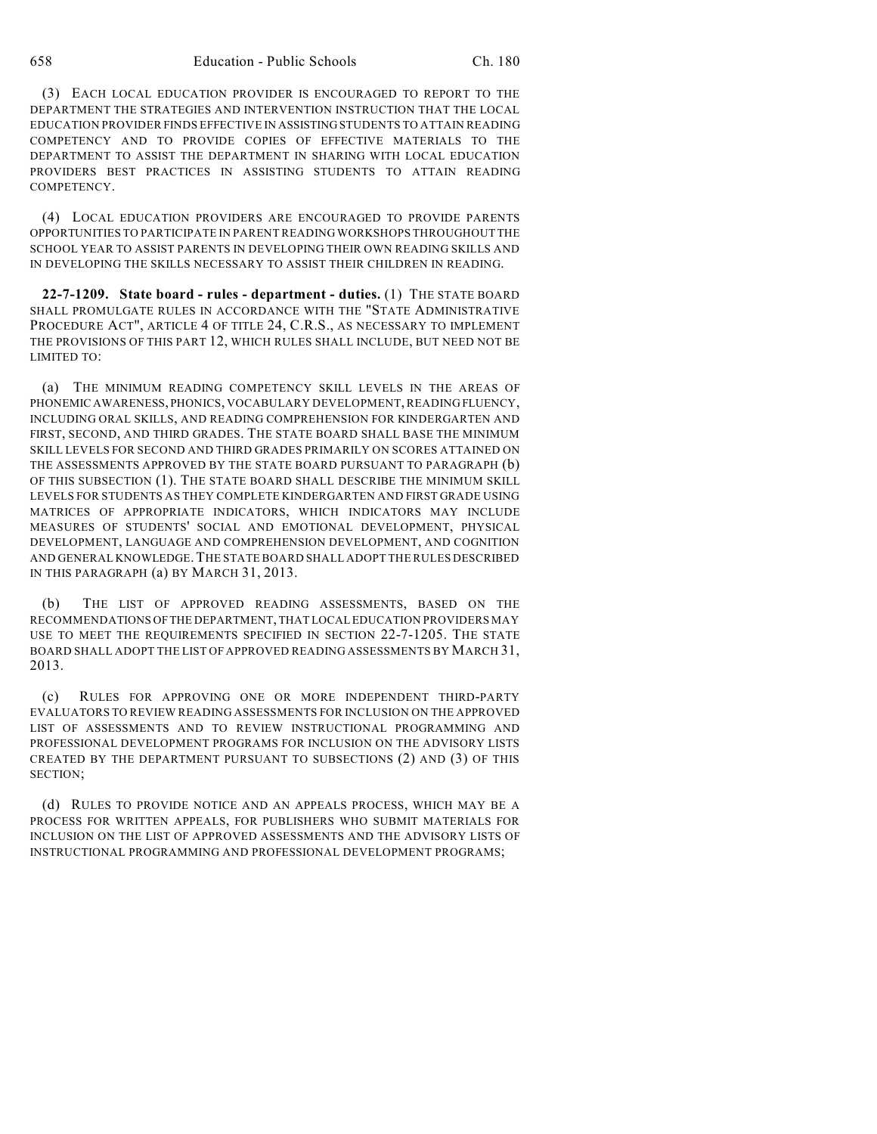(3) EACH LOCAL EDUCATION PROVIDER IS ENCOURAGED TO REPORT TO THE DEPARTMENT THE STRATEGIES AND INTERVENTION INSTRUCTION THAT THE LOCAL EDUCATION PROVIDER FINDS EFFECTIVE IN ASSISTING STUDENTS TO ATTAIN READING COMPETENCY AND TO PROVIDE COPIES OF EFFECTIVE MATERIALS TO THE DEPARTMENT TO ASSIST THE DEPARTMENT IN SHARING WITH LOCAL EDUCATION PROVIDERS BEST PRACTICES IN ASSISTING STUDENTS TO ATTAIN READING COMPETENCY.

(4) LOCAL EDUCATION PROVIDERS ARE ENCOURAGED TO PROVIDE PARENTS OPPORTUNITIES TO PARTICIPATE IN PARENT READING WORKSHOPS THROUGHOUT THE SCHOOL YEAR TO ASSIST PARENTS IN DEVELOPING THEIR OWN READING SKILLS AND IN DEVELOPING THE SKILLS NECESSARY TO ASSIST THEIR CHILDREN IN READING.

**22-7-1209. State board - rules - department - duties.** (1) THE STATE BOARD SHALL PROMULGATE RULES IN ACCORDANCE WITH THE "STATE ADMINISTRATIVE PROCEDURE ACT", ARTICLE 4 OF TITLE 24, C.R.S., AS NECESSARY TO IMPLEMENT THE PROVISIONS OF THIS PART 12, WHICH RULES SHALL INCLUDE, BUT NEED NOT BE LIMITED TO:

(a) THE MINIMUM READING COMPETENCY SKILL LEVELS IN THE AREAS OF PHONEMIC AWARENESS, PHONICS, VOCABULARY DEVELOPMENT, READING FLUENCY, INCLUDING ORAL SKILLS, AND READING COMPREHENSION FOR KINDERGARTEN AND FIRST, SECOND, AND THIRD GRADES. THE STATE BOARD SHALL BASE THE MINIMUM SKILL LEVELS FOR SECOND AND THIRD GRADES PRIMARILY ON SCORES ATTAINED ON THE ASSESSMENTS APPROVED BY THE STATE BOARD PURSUANT TO PARAGRAPH (b) OF THIS SUBSECTION (1). THE STATE BOARD SHALL DESCRIBE THE MINIMUM SKILL LEVELS FOR STUDENTS AS THEY COMPLETE KINDERGARTEN AND FIRST GRADE USING MATRICES OF APPROPRIATE INDICATORS, WHICH INDICATORS MAY INCLUDE MEASURES OF STUDENTS' SOCIAL AND EMOTIONAL DEVELOPMENT, PHYSICAL DEVELOPMENT, LANGUAGE AND COMPREHENSION DEVELOPMENT, AND COGNITION AND GENERAL KNOWLEDGE.THE STATE BOARD SHALL ADOPT THE RULES DESCRIBED IN THIS PARAGRAPH (a) BY MARCH 31, 2013.

(b) THE LIST OF APPROVED READING ASSESSMENTS, BASED ON THE RECOMMENDATIONS OFTHE DEPARTMENT, THAT LOCAL EDUCATION PROVIDERS MAY USE TO MEET THE REQUIREMENTS SPECIFIED IN SECTION 22-7-1205. THE STATE BOARD SHALL ADOPT THE LIST OF APPROVED READING ASSESSMENTS BY MARCH 31, 2013.

(c) RULES FOR APPROVING ONE OR MORE INDEPENDENT THIRD-PARTY EVALUATORS TO REVIEW READING ASSESSMENTS FOR INCLUSION ON THE APPROVED LIST OF ASSESSMENTS AND TO REVIEW INSTRUCTIONAL PROGRAMMING AND PROFESSIONAL DEVELOPMENT PROGRAMS FOR INCLUSION ON THE ADVISORY LISTS CREATED BY THE DEPARTMENT PURSUANT TO SUBSECTIONS (2) AND (3) OF THIS SECTION;

(d) RULES TO PROVIDE NOTICE AND AN APPEALS PROCESS, WHICH MAY BE A PROCESS FOR WRITTEN APPEALS, FOR PUBLISHERS WHO SUBMIT MATERIALS FOR INCLUSION ON THE LIST OF APPROVED ASSESSMENTS AND THE ADVISORY LISTS OF INSTRUCTIONAL PROGRAMMING AND PROFESSIONAL DEVELOPMENT PROGRAMS;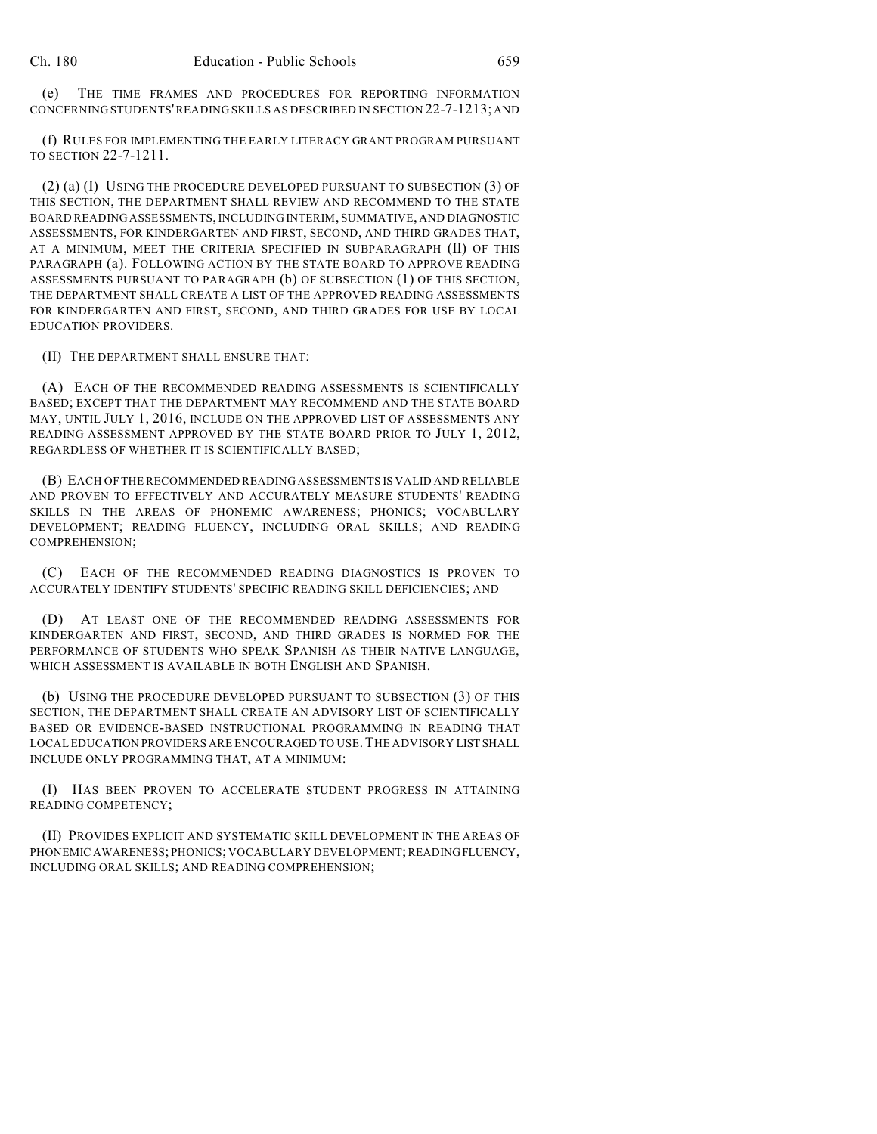(e) THE TIME FRAMES AND PROCEDURES FOR REPORTING INFORMATION CONCERNING STUDENTS'READING SKILLS AS DESCRIBED IN SECTION 22-7-1213; AND

(f) RULES FOR IMPLEMENTING THE EARLY LITERACY GRANT PROGRAM PURSUANT TO SECTION 22-7-1211.

(2) (a) (I) USING THE PROCEDURE DEVELOPED PURSUANT TO SUBSECTION (3) OF THIS SECTION, THE DEPARTMENT SHALL REVIEW AND RECOMMEND TO THE STATE BOARD READING ASSESSMENTS,INCLUDING INTERIM, SUMMATIVE, AND DIAGNOSTIC ASSESSMENTS, FOR KINDERGARTEN AND FIRST, SECOND, AND THIRD GRADES THAT, AT A MINIMUM, MEET THE CRITERIA SPECIFIED IN SUBPARAGRAPH (II) OF THIS PARAGRAPH (a). FOLLOWING ACTION BY THE STATE BOARD TO APPROVE READING ASSESSMENTS PURSUANT TO PARAGRAPH (b) OF SUBSECTION (1) OF THIS SECTION, THE DEPARTMENT SHALL CREATE A LIST OF THE APPROVED READING ASSESSMENTS FOR KINDERGARTEN AND FIRST, SECOND, AND THIRD GRADES FOR USE BY LOCAL EDUCATION PROVIDERS.

(II) THE DEPARTMENT SHALL ENSURE THAT:

(A) EACH OF THE RECOMMENDED READING ASSESSMENTS IS SCIENTIFICALLY BASED; EXCEPT THAT THE DEPARTMENT MAY RECOMMEND AND THE STATE BOARD MAY, UNTIL JULY 1, 2016, INCLUDE ON THE APPROVED LIST OF ASSESSMENTS ANY READING ASSESSMENT APPROVED BY THE STATE BOARD PRIOR TO JULY 1, 2012, REGARDLESS OF WHETHER IT IS SCIENTIFICALLY BASED;

(B) EACH OF THE RECOMMENDED READING ASSESSMENTS IS VALID AND RELIABLE AND PROVEN TO EFFECTIVELY AND ACCURATELY MEASURE STUDENTS' READING SKILLS IN THE AREAS OF PHONEMIC AWARENESS; PHONICS; VOCABULARY DEVELOPMENT; READING FLUENCY, INCLUDING ORAL SKILLS; AND READING COMPREHENSION;

(C) EACH OF THE RECOMMENDED READING DIAGNOSTICS IS PROVEN TO ACCURATELY IDENTIFY STUDENTS' SPECIFIC READING SKILL DEFICIENCIES; AND

(D) AT LEAST ONE OF THE RECOMMENDED READING ASSESSMENTS FOR KINDERGARTEN AND FIRST, SECOND, AND THIRD GRADES IS NORMED FOR THE PERFORMANCE OF STUDENTS WHO SPEAK SPANISH AS THEIR NATIVE LANGUAGE, WHICH ASSESSMENT IS AVAILABLE IN BOTH ENGLISH AND SPANISH.

(b) USING THE PROCEDURE DEVELOPED PURSUANT TO SUBSECTION (3) OF THIS SECTION, THE DEPARTMENT SHALL CREATE AN ADVISORY LIST OF SCIENTIFICALLY BASED OR EVIDENCE-BASED INSTRUCTIONAL PROGRAMMING IN READING THAT LOCAL EDUCATION PROVIDERS ARE ENCOURAGED TO USE.THE ADVISORY LIST SHALL INCLUDE ONLY PROGRAMMING THAT, AT A MINIMUM:

(I) HAS BEEN PROVEN TO ACCELERATE STUDENT PROGRESS IN ATTAINING READING COMPETENCY;

(II) PROVIDES EXPLICIT AND SYSTEMATIC SKILL DEVELOPMENT IN THE AREAS OF PHONEMIC AWARENESS; PHONICS; VOCABULARY DEVELOPMENT;READINGFLUENCY, INCLUDING ORAL SKILLS; AND READING COMPREHENSION;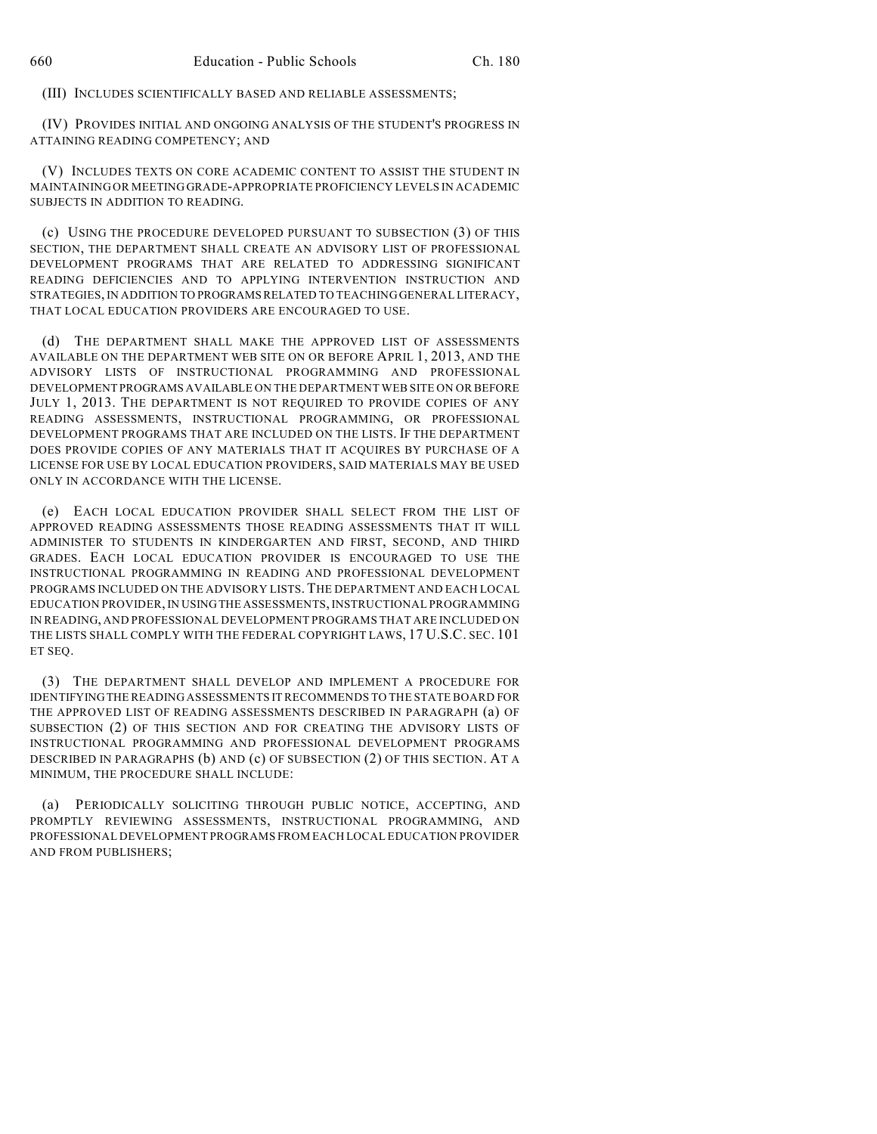(III) INCLUDES SCIENTIFICALLY BASED AND RELIABLE ASSESSMENTS;

(IV) PROVIDES INITIAL AND ONGOING ANALYSIS OF THE STUDENT'S PROGRESS IN ATTAINING READING COMPETENCY; AND

(V) INCLUDES TEXTS ON CORE ACADEMIC CONTENT TO ASSIST THE STUDENT IN MAINTAINING OR MEETING GRADE-APPROPRIATE PROFICIENCY LEVELS IN ACADEMIC SUBJECTS IN ADDITION TO READING.

(c) USING THE PROCEDURE DEVELOPED PURSUANT TO SUBSECTION (3) OF THIS SECTION, THE DEPARTMENT SHALL CREATE AN ADVISORY LIST OF PROFESSIONAL DEVELOPMENT PROGRAMS THAT ARE RELATED TO ADDRESSING SIGNIFICANT READING DEFICIENCIES AND TO APPLYING INTERVENTION INSTRUCTION AND STRATEGIES, IN ADDITION TO PROGRAMSRELATED TO TEACHING GENERAL LITERACY, THAT LOCAL EDUCATION PROVIDERS ARE ENCOURAGED TO USE.

(d) THE DEPARTMENT SHALL MAKE THE APPROVED LIST OF ASSESSMENTS AVAILABLE ON THE DEPARTMENT WEB SITE ON OR BEFORE APRIL 1, 2013, AND THE ADVISORY LISTS OF INSTRUCTIONAL PROGRAMMING AND PROFESSIONAL DEVELOPMENT PROGRAMS AVAILABLE ON THE DEPARTMENT WEB SITE ON OR BEFORE JULY 1, 2013. THE DEPARTMENT IS NOT REQUIRED TO PROVIDE COPIES OF ANY READING ASSESSMENTS, INSTRUCTIONAL PROGRAMMING, OR PROFESSIONAL DEVELOPMENT PROGRAMS THAT ARE INCLUDED ON THE LISTS. IF THE DEPARTMENT DOES PROVIDE COPIES OF ANY MATERIALS THAT IT ACQUIRES BY PURCHASE OF A LICENSE FOR USE BY LOCAL EDUCATION PROVIDERS, SAID MATERIALS MAY BE USED ONLY IN ACCORDANCE WITH THE LICENSE.

(e) EACH LOCAL EDUCATION PROVIDER SHALL SELECT FROM THE LIST OF APPROVED READING ASSESSMENTS THOSE READING ASSESSMENTS THAT IT WILL ADMINISTER TO STUDENTS IN KINDERGARTEN AND FIRST, SECOND, AND THIRD GRADES. EACH LOCAL EDUCATION PROVIDER IS ENCOURAGED TO USE THE INSTRUCTIONAL PROGRAMMING IN READING AND PROFESSIONAL DEVELOPMENT PROGRAMS INCLUDED ON THE ADVISORY LISTS.THE DEPARTMENT AND EACH LOCAL EDUCATION PROVIDER,IN USINGTHE ASSESSMENTS, INSTRUCTIONAL PROGRAMMING IN READING, AND PROFESSIONAL DEVELOPMENT PROGRAMS THAT ARE INCLUDED ON THE LISTS SHALL COMPLY WITH THE FEDERAL COPYRIGHT LAWS, 17 U.S.C. SEC. 101 ET SEQ.

(3) THE DEPARTMENT SHALL DEVELOP AND IMPLEMENT A PROCEDURE FOR IDENTIFYINGTHE READING ASSESSMENTS ITRECOMMENDS TO THE STATE BOARD FOR THE APPROVED LIST OF READING ASSESSMENTS DESCRIBED IN PARAGRAPH (a) OF SUBSECTION (2) OF THIS SECTION AND FOR CREATING THE ADVISORY LISTS OF INSTRUCTIONAL PROGRAMMING AND PROFESSIONAL DEVELOPMENT PROGRAMS DESCRIBED IN PARAGRAPHS (b) AND (c) OF SUBSECTION (2) OF THIS SECTION. AT A MINIMUM, THE PROCEDURE SHALL INCLUDE:

(a) PERIODICALLY SOLICITING THROUGH PUBLIC NOTICE, ACCEPTING, AND PROMPTLY REVIEWING ASSESSMENTS, INSTRUCTIONAL PROGRAMMING, AND PROFESSIONAL DEVELOPMENT PROGRAMS FROM EACH LOCAL EDUCATION PROVIDER AND FROM PUBLISHERS;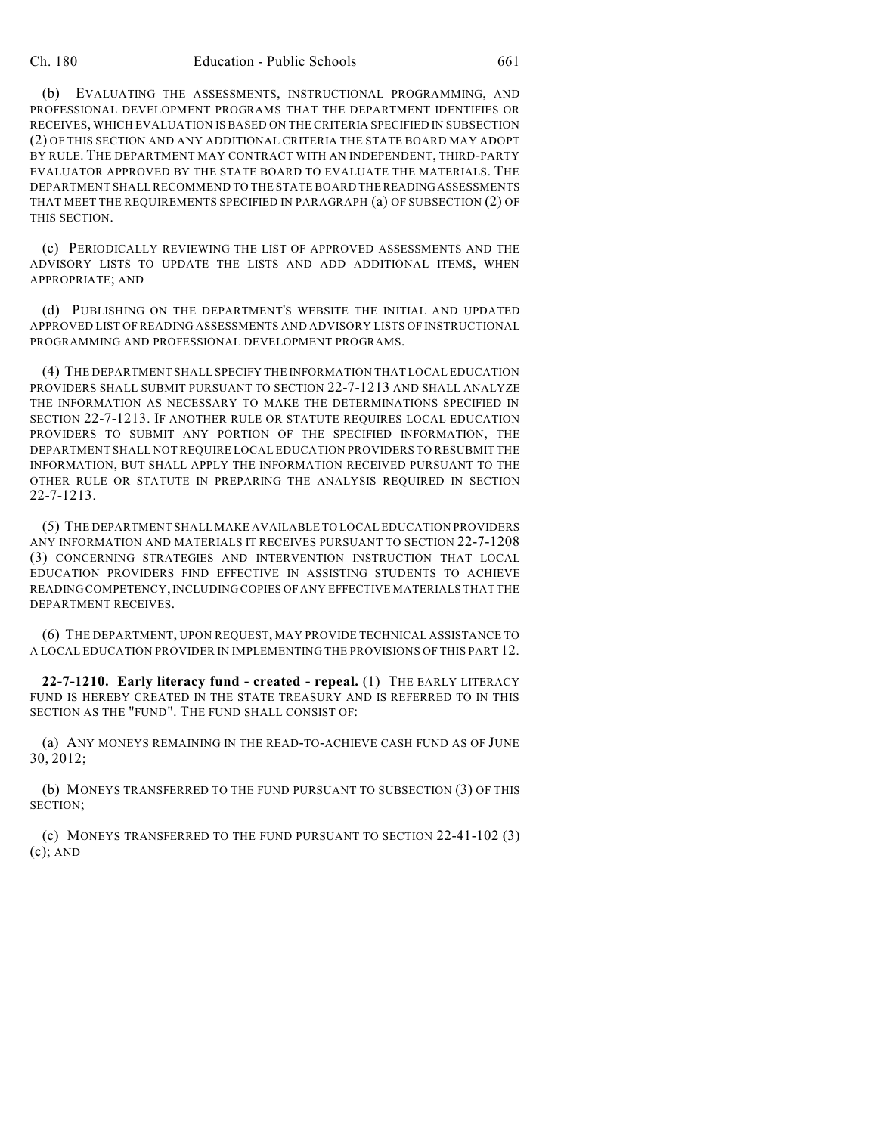(b) EVALUATING THE ASSESSMENTS, INSTRUCTIONAL PROGRAMMING, AND PROFESSIONAL DEVELOPMENT PROGRAMS THAT THE DEPARTMENT IDENTIFIES OR RECEIVES, WHICH EVALUATION IS BASED ON THE CRITERIA SPECIFIED IN SUBSECTION (2) OF THIS SECTION AND ANY ADDITIONAL CRITERIA THE STATE BOARD MAY ADOPT BY RULE. THE DEPARTMENT MAY CONTRACT WITH AN INDEPENDENT, THIRD-PARTY EVALUATOR APPROVED BY THE STATE BOARD TO EVALUATE THE MATERIALS. THE DEPARTMENT SHALL RECOMMEND TO THE STATE BOARD THE READINGASSESSMENTS THAT MEET THE REQUIREMENTS SPECIFIED IN PARAGRAPH (a) OF SUBSECTION (2) OF THIS SECTION.

(c) PERIODICALLY REVIEWING THE LIST OF APPROVED ASSESSMENTS AND THE ADVISORY LISTS TO UPDATE THE LISTS AND ADD ADDITIONAL ITEMS, WHEN APPROPRIATE; AND

(d) PUBLISHING ON THE DEPARTMENT'S WEBSITE THE INITIAL AND UPDATED APPROVED LIST OF READING ASSESSMENTS AND ADVISORY LISTS OF INSTRUCTIONAL PROGRAMMING AND PROFESSIONAL DEVELOPMENT PROGRAMS.

(4) THE DEPARTMENT SHALL SPECIFY THE INFORMATION THAT LOCAL EDUCATION PROVIDERS SHALL SUBMIT PURSUANT TO SECTION 22-7-1213 AND SHALL ANALYZE THE INFORMATION AS NECESSARY TO MAKE THE DETERMINATIONS SPECIFIED IN SECTION 22-7-1213. IF ANOTHER RULE OR STATUTE REQUIRES LOCAL EDUCATION PROVIDERS TO SUBMIT ANY PORTION OF THE SPECIFIED INFORMATION, THE DEPARTMENT SHALL NOT REQUIRE LOCAL EDUCATION PROVIDERS TO RESUBMIT THE INFORMATION, BUT SHALL APPLY THE INFORMATION RECEIVED PURSUANT TO THE OTHER RULE OR STATUTE IN PREPARING THE ANALYSIS REQUIRED IN SECTION 22-7-1213.

(5) THE DEPARTMENT SHALL MAKE AVAILABLE TO LOCAL EDUCATION PROVIDERS ANY INFORMATION AND MATERIALS IT RECEIVES PURSUANT TO SECTION 22-7-1208 (3) CONCERNING STRATEGIES AND INTERVENTION INSTRUCTION THAT LOCAL EDUCATION PROVIDERS FIND EFFECTIVE IN ASSISTING STUDENTS TO ACHIEVE READING COMPETENCY,INCLUDING COPIES OF ANY EFFECTIVE MATERIALS THAT THE DEPARTMENT RECEIVES.

(6) THE DEPARTMENT, UPON REQUEST, MAY PROVIDE TECHNICAL ASSISTANCE TO A LOCAL EDUCATION PROVIDER IN IMPLEMENTING THE PROVISIONS OF THIS PART 12.

**22-7-1210. Early literacy fund - created - repeal.** (1) THE EARLY LITERACY FUND IS HEREBY CREATED IN THE STATE TREASURY AND IS REFERRED TO IN THIS SECTION AS THE "FUND". THE FUND SHALL CONSIST OF:

(a) ANY MONEYS REMAINING IN THE READ-TO-ACHIEVE CASH FUND AS OF JUNE 30, 2012;

(b) MONEYS TRANSFERRED TO THE FUND PURSUANT TO SUBSECTION (3) OF THIS SECTION;

(c) MONEYS TRANSFERRED TO THE FUND PURSUANT TO SECTION 22-41-102 (3) (c); AND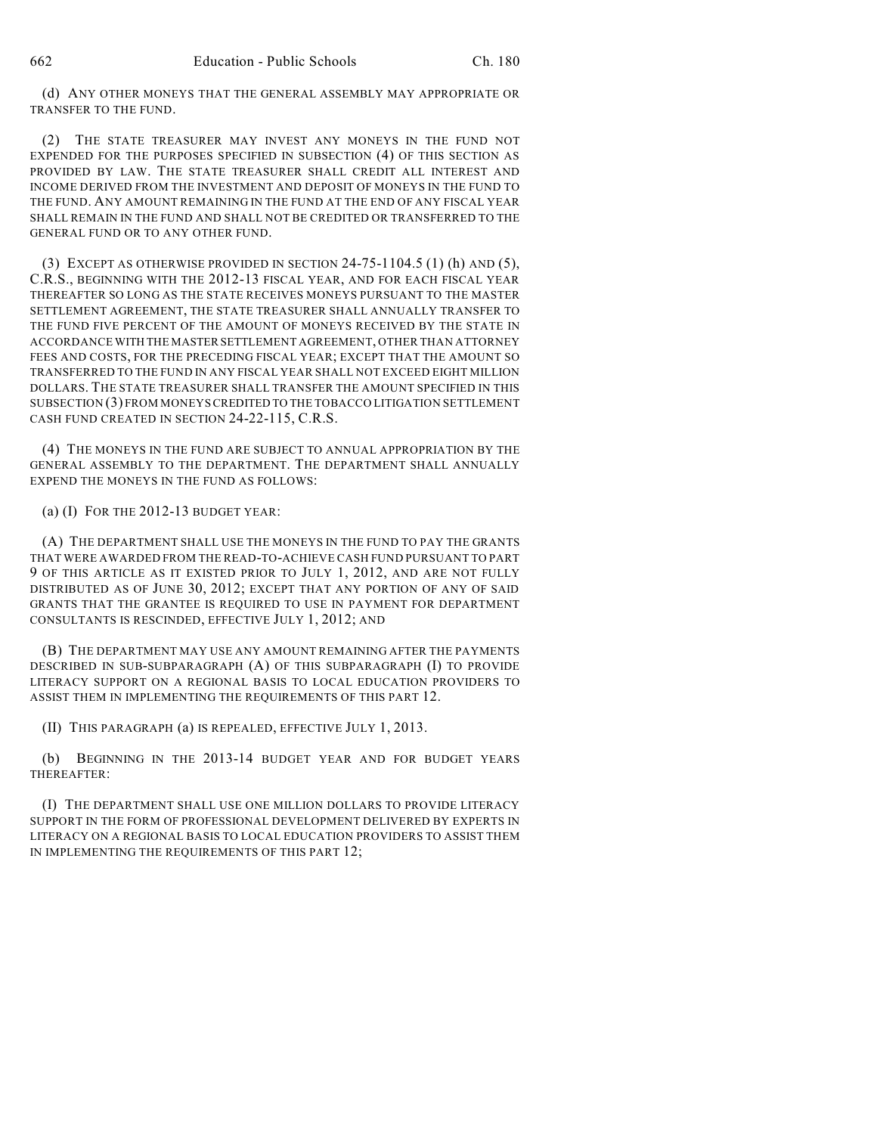(d) ANY OTHER MONEYS THAT THE GENERAL ASSEMBLY MAY APPROPRIATE OR TRANSFER TO THE FUND.

(2) THE STATE TREASURER MAY INVEST ANY MONEYS IN THE FUND NOT EXPENDED FOR THE PURPOSES SPECIFIED IN SUBSECTION (4) OF THIS SECTION AS PROVIDED BY LAW. THE STATE TREASURER SHALL CREDIT ALL INTEREST AND INCOME DERIVED FROM THE INVESTMENT AND DEPOSIT OF MONEYS IN THE FUND TO THE FUND. ANY AMOUNT REMAINING IN THE FUND AT THE END OF ANY FISCAL YEAR SHALL REMAIN IN THE FUND AND SHALL NOT BE CREDITED OR TRANSFERRED TO THE GENERAL FUND OR TO ANY OTHER FUND.

(3) EXCEPT AS OTHERWISE PROVIDED IN SECTION  $24-75-1104.5$  (1) (h) AND (5), C.R.S., BEGINNING WITH THE 2012-13 FISCAL YEAR, AND FOR EACH FISCAL YEAR THEREAFTER SO LONG AS THE STATE RECEIVES MONEYS PURSUANT TO THE MASTER SETTLEMENT AGREEMENT, THE STATE TREASURER SHALL ANNUALLY TRANSFER TO THE FUND FIVE PERCENT OF THE AMOUNT OF MONEYS RECEIVED BY THE STATE IN ACCORDANCE WITH THE MASTER SETTLEMENT AGREEMENT, OTHER THAN ATTORNEY FEES AND COSTS, FOR THE PRECEDING FISCAL YEAR; EXCEPT THAT THE AMOUNT SO TRANSFERRED TO THE FUND IN ANY FISCAL YEAR SHALL NOT EXCEED EIGHT MILLION DOLLARS. THE STATE TREASURER SHALL TRANSFER THE AMOUNT SPECIFIED IN THIS SUBSECTION (3) FROM MONEYSCREDITED TO THE TOBACCO LITIGATION SETTLEMENT CASH FUND CREATED IN SECTION 24-22-115, C.R.S.

(4) THE MONEYS IN THE FUND ARE SUBJECT TO ANNUAL APPROPRIATION BY THE GENERAL ASSEMBLY TO THE DEPARTMENT. THE DEPARTMENT SHALL ANNUALLY EXPEND THE MONEYS IN THE FUND AS FOLLOWS:

(a) (I) FOR THE 2012-13 BUDGET YEAR:

(A) THE DEPARTMENT SHALL USE THE MONEYS IN THE FUND TO PAY THE GRANTS THAT WERE AWARDED FROM THE READ-TO-ACHIEVE CASH FUND PURSUANT TO PART 9 OF THIS ARTICLE AS IT EXISTED PRIOR TO JULY 1, 2012, AND ARE NOT FULLY DISTRIBUTED AS OF JUNE 30, 2012; EXCEPT THAT ANY PORTION OF ANY OF SAID GRANTS THAT THE GRANTEE IS REQUIRED TO USE IN PAYMENT FOR DEPARTMENT CONSULTANTS IS RESCINDED, EFFECTIVE JULY 1, 2012; AND

(B) THE DEPARTMENT MAY USE ANY AMOUNT REMAINING AFTER THE PAYMENTS DESCRIBED IN SUB-SUBPARAGRAPH (A) OF THIS SUBPARAGRAPH (I) TO PROVIDE LITERACY SUPPORT ON A REGIONAL BASIS TO LOCAL EDUCATION PROVIDERS TO ASSIST THEM IN IMPLEMENTING THE REQUIREMENTS OF THIS PART 12.

(II) THIS PARAGRAPH (a) IS REPEALED, EFFECTIVE JULY 1, 2013.

(b) BEGINNING IN THE 2013-14 BUDGET YEAR AND FOR BUDGET YEARS THEREAFTER:

(I) THE DEPARTMENT SHALL USE ONE MILLION DOLLARS TO PROVIDE LITERACY SUPPORT IN THE FORM OF PROFESSIONAL DEVELOPMENT DELIVERED BY EXPERTS IN LITERACY ON A REGIONAL BASIS TO LOCAL EDUCATION PROVIDERS TO ASSIST THEM IN IMPLEMENTING THE REQUIREMENTS OF THIS PART 12;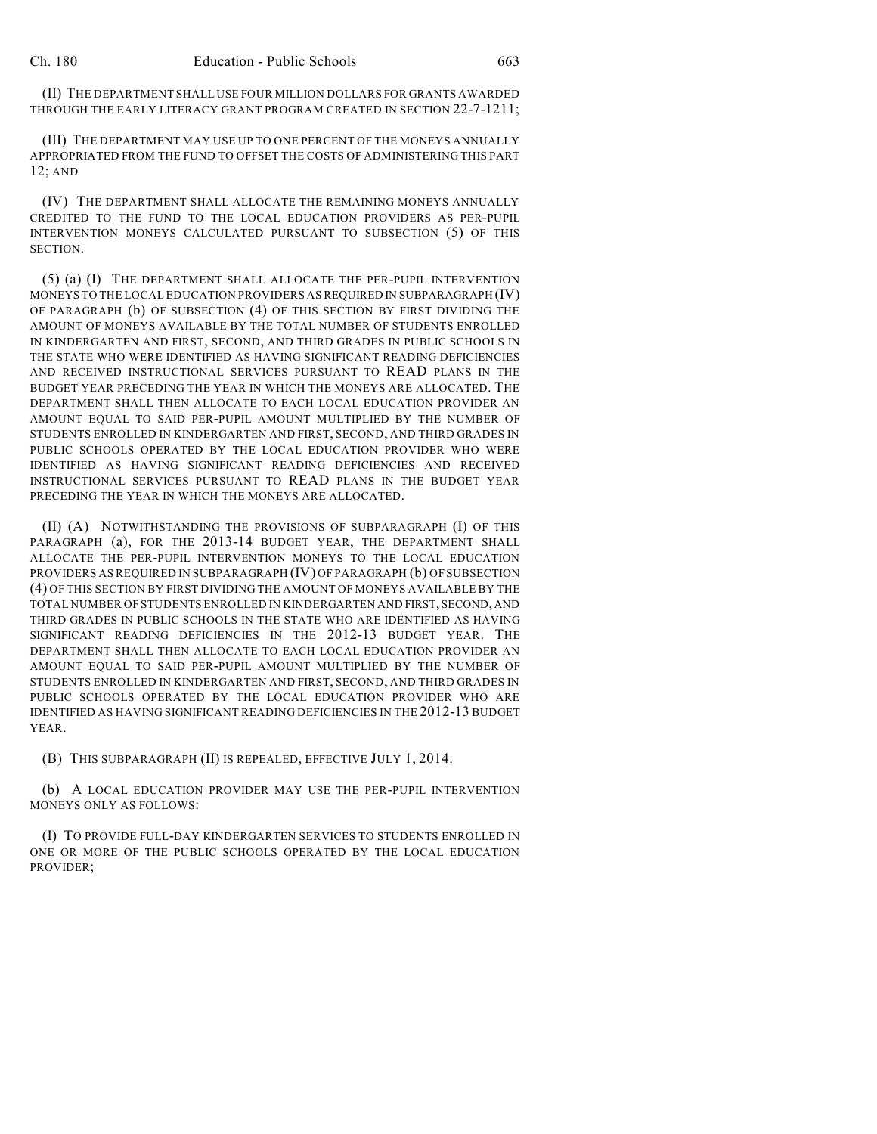(II) THE DEPARTMENT SHALL USE FOUR MILLION DOLLARS FOR GRANTS AWARDED THROUGH THE EARLY LITERACY GRANT PROGRAM CREATED IN SECTION 22-7-1211;

(III) THE DEPARTMENT MAY USE UP TO ONE PERCENT OF THE MONEYS ANNUALLY APPROPRIATED FROM THE FUND TO OFFSET THE COSTS OF ADMINISTERING THIS PART 12; AND

(IV) THE DEPARTMENT SHALL ALLOCATE THE REMAINING MONEYS ANNUALLY CREDITED TO THE FUND TO THE LOCAL EDUCATION PROVIDERS AS PER-PUPIL INTERVENTION MONEYS CALCULATED PURSUANT TO SUBSECTION (5) OF THIS **SECTION** 

(5) (a) (I) THE DEPARTMENT SHALL ALLOCATE THE PER-PUPIL INTERVENTION MONEYS TO THE LOCAL EDUCATION PROVIDERS AS REQUIRED IN SUBPARAGRAPH (IV) OF PARAGRAPH (b) OF SUBSECTION (4) OF THIS SECTION BY FIRST DIVIDING THE AMOUNT OF MONEYS AVAILABLE BY THE TOTAL NUMBER OF STUDENTS ENROLLED IN KINDERGARTEN AND FIRST, SECOND, AND THIRD GRADES IN PUBLIC SCHOOLS IN THE STATE WHO WERE IDENTIFIED AS HAVING SIGNIFICANT READING DEFICIENCIES AND RECEIVED INSTRUCTIONAL SERVICES PURSUANT TO READ PLANS IN THE BUDGET YEAR PRECEDING THE YEAR IN WHICH THE MONEYS ARE ALLOCATED. THE DEPARTMENT SHALL THEN ALLOCATE TO EACH LOCAL EDUCATION PROVIDER AN AMOUNT EQUAL TO SAID PER-PUPIL AMOUNT MULTIPLIED BY THE NUMBER OF STUDENTS ENROLLED IN KINDERGARTEN AND FIRST, SECOND, AND THIRD GRADES IN PUBLIC SCHOOLS OPERATED BY THE LOCAL EDUCATION PROVIDER WHO WERE IDENTIFIED AS HAVING SIGNIFICANT READING DEFICIENCIES AND RECEIVED INSTRUCTIONAL SERVICES PURSUANT TO READ PLANS IN THE BUDGET YEAR PRECEDING THE YEAR IN WHICH THE MONEYS ARE ALLOCATED.

(II) (A) NOTWITHSTANDING THE PROVISIONS OF SUBPARAGRAPH (I) OF THIS PARAGRAPH (a), FOR THE 2013-14 BUDGET YEAR, THE DEPARTMENT SHALL ALLOCATE THE PER-PUPIL INTERVENTION MONEYS TO THE LOCAL EDUCATION PROVIDERS AS REQUIRED IN SUBPARAGRAPH (IV) OF PARAGRAPH (b) OF SUBSECTION (4) OF THIS SECTION BY FIRST DIVIDING THE AMOUNT OF MONEYS AVAILABLE BY THE TOTAL NUMBER OF STUDENTS ENROLLED IN KINDERGARTEN AND FIRST, SECOND, AND THIRD GRADES IN PUBLIC SCHOOLS IN THE STATE WHO ARE IDENTIFIED AS HAVING SIGNIFICANT READING DEFICIENCIES IN THE 2012-13 BUDGET YEAR. THE DEPARTMENT SHALL THEN ALLOCATE TO EACH LOCAL EDUCATION PROVIDER AN AMOUNT EQUAL TO SAID PER-PUPIL AMOUNT MULTIPLIED BY THE NUMBER OF STUDENTS ENROLLED IN KINDERGARTEN AND FIRST, SECOND, AND THIRD GRADES IN PUBLIC SCHOOLS OPERATED BY THE LOCAL EDUCATION PROVIDER WHO ARE IDENTIFIED AS HAVING SIGNIFICANT READING DEFICIENCIES IN THE 2012-13 BUDGET YEAR.

(B) THIS SUBPARAGRAPH (II) IS REPEALED, EFFECTIVE JULY 1, 2014.

(b) A LOCAL EDUCATION PROVIDER MAY USE THE PER-PUPIL INTERVENTION MONEYS ONLY AS FOLLOWS:

(I) TO PROVIDE FULL-DAY KINDERGARTEN SERVICES TO STUDENTS ENROLLED IN ONE OR MORE OF THE PUBLIC SCHOOLS OPERATED BY THE LOCAL EDUCATION PROVIDER;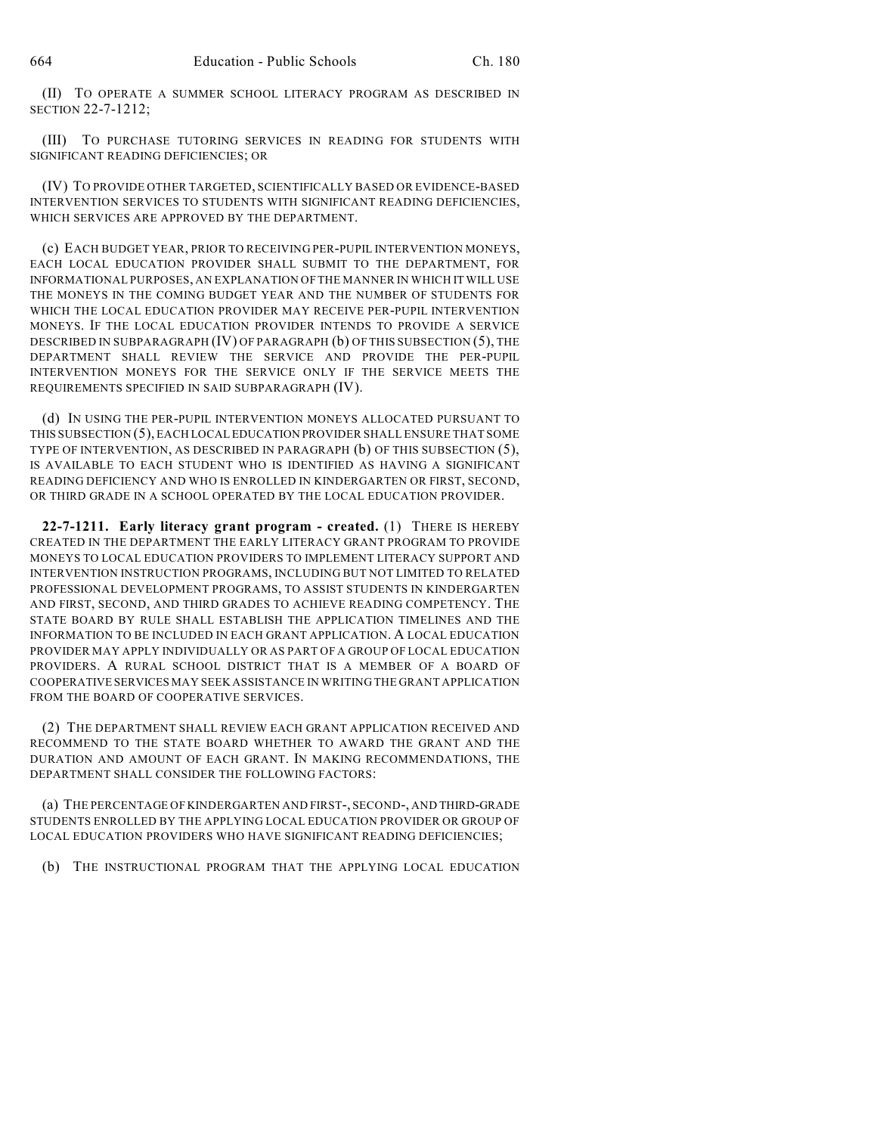(II) TO OPERATE A SUMMER SCHOOL LITERACY PROGRAM AS DESCRIBED IN SECTION 22-7-1212;

(III) TO PURCHASE TUTORING SERVICES IN READING FOR STUDENTS WITH SIGNIFICANT READING DEFICIENCIES; OR

(IV) TO PROVIDE OTHER TARGETED, SCIENTIFICALLY BASED OR EVIDENCE-BASED INTERVENTION SERVICES TO STUDENTS WITH SIGNIFICANT READING DEFICIENCIES, WHICH SERVICES ARE APPROVED BY THE DEPARTMENT.

(c) EACH BUDGET YEAR, PRIOR TO RECEIVING PER-PUPIL INTERVENTION MONEYS, EACH LOCAL EDUCATION PROVIDER SHALL SUBMIT TO THE DEPARTMENT, FOR INFORMATIONAL PURPOSES, AN EXPLANATION OF THE MANNER IN WHICH IT WILL USE THE MONEYS IN THE COMING BUDGET YEAR AND THE NUMBER OF STUDENTS FOR WHICH THE LOCAL EDUCATION PROVIDER MAY RECEIVE PER-PUPIL INTERVENTION MONEYS. IF THE LOCAL EDUCATION PROVIDER INTENDS TO PROVIDE A SERVICE DESCRIBED IN SUBPARAGRAPH (IV) OF PARAGRAPH (b) OF THIS SUBSECTION (5), THE DEPARTMENT SHALL REVIEW THE SERVICE AND PROVIDE THE PER-PUPIL INTERVENTION MONEYS FOR THE SERVICE ONLY IF THE SERVICE MEETS THE REQUIREMENTS SPECIFIED IN SAID SUBPARAGRAPH (IV).

(d) IN USING THE PER-PUPIL INTERVENTION MONEYS ALLOCATED PURSUANT TO THIS SUBSECTION (5), EACH LOCAL EDUCATION PROVIDER SHALL ENSURE THAT SOME TYPE OF INTERVENTION, AS DESCRIBED IN PARAGRAPH (b) OF THIS SUBSECTION (5), IS AVAILABLE TO EACH STUDENT WHO IS IDENTIFIED AS HAVING A SIGNIFICANT READING DEFICIENCY AND WHO IS ENROLLED IN KINDERGARTEN OR FIRST, SECOND, OR THIRD GRADE IN A SCHOOL OPERATED BY THE LOCAL EDUCATION PROVIDER.

**22-7-1211. Early literacy grant program - created.** (1) THERE IS HEREBY CREATED IN THE DEPARTMENT THE EARLY LITERACY GRANT PROGRAM TO PROVIDE MONEYS TO LOCAL EDUCATION PROVIDERS TO IMPLEMENT LITERACY SUPPORT AND INTERVENTION INSTRUCTION PROGRAMS, INCLUDING BUT NOT LIMITED TO RELATED PROFESSIONAL DEVELOPMENT PROGRAMS, TO ASSIST STUDENTS IN KINDERGARTEN AND FIRST, SECOND, AND THIRD GRADES TO ACHIEVE READING COMPETENCY. THE STATE BOARD BY RULE SHALL ESTABLISH THE APPLICATION TIMELINES AND THE INFORMATION TO BE INCLUDED IN EACH GRANT APPLICATION. A LOCAL EDUCATION PROVIDER MAY APPLY INDIVIDUALLY OR AS PART OF A GROUP OF LOCAL EDUCATION PROVIDERS. A RURAL SCHOOL DISTRICT THAT IS A MEMBER OF A BOARD OF COOPERATIVE SERVICES MAY SEEK ASSISTANCE IN WRITING THE GRANT APPLICATION FROM THE BOARD OF COOPERATIVE SERVICES.

(2) THE DEPARTMENT SHALL REVIEW EACH GRANT APPLICATION RECEIVED AND RECOMMEND TO THE STATE BOARD WHETHER TO AWARD THE GRANT AND THE DURATION AND AMOUNT OF EACH GRANT. IN MAKING RECOMMENDATIONS, THE DEPARTMENT SHALL CONSIDER THE FOLLOWING FACTORS:

(a) THE PERCENTAGE OF KINDERGARTEN AND FIRST-, SECOND-, AND THIRD-GRADE STUDENTS ENROLLED BY THE APPLYING LOCAL EDUCATION PROVIDER OR GROUP OF LOCAL EDUCATION PROVIDERS WHO HAVE SIGNIFICANT READING DEFICIENCIES;

(b) THE INSTRUCTIONAL PROGRAM THAT THE APPLYING LOCAL EDUCATION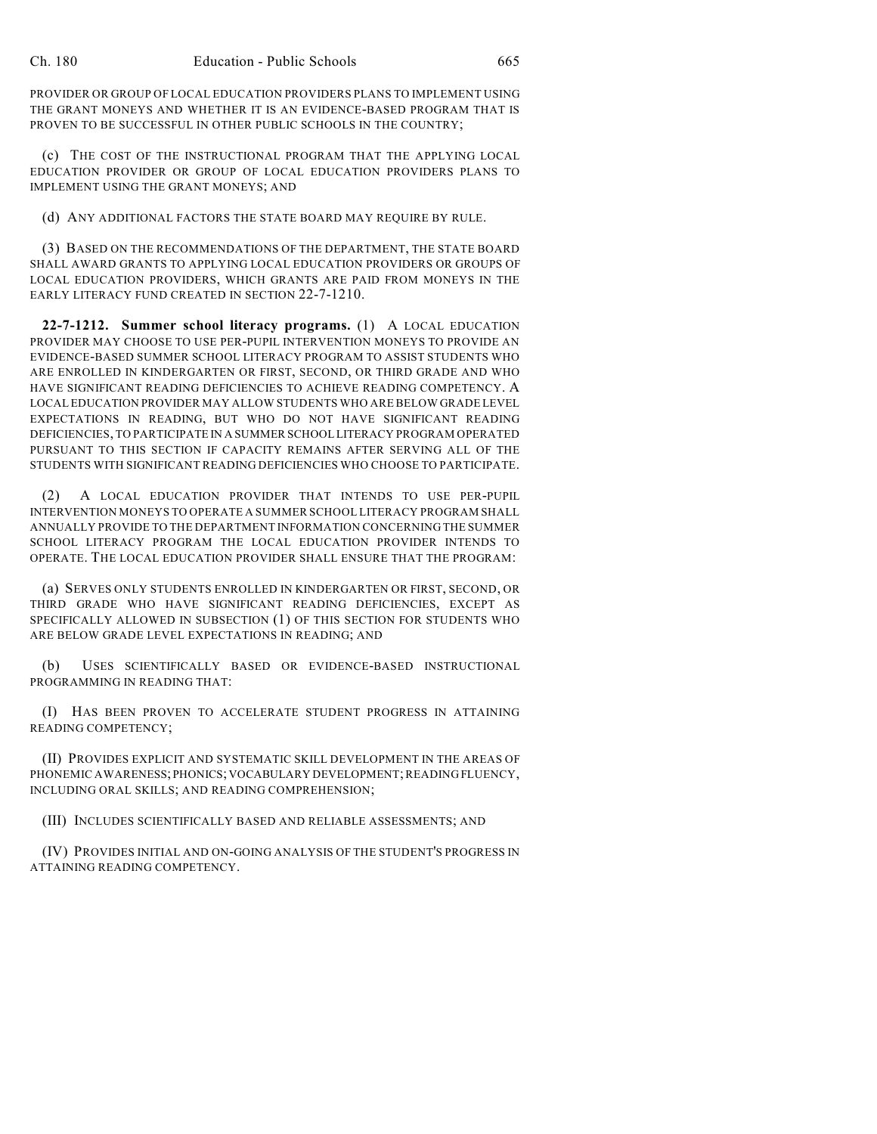PROVIDER OR GROUP OF LOCAL EDUCATION PROVIDERS PLANS TO IMPLEMENT USING THE GRANT MONEYS AND WHETHER IT IS AN EVIDENCE-BASED PROGRAM THAT IS PROVEN TO BE SUCCESSFUL IN OTHER PUBLIC SCHOOLS IN THE COUNTRY;

(c) THE COST OF THE INSTRUCTIONAL PROGRAM THAT THE APPLYING LOCAL EDUCATION PROVIDER OR GROUP OF LOCAL EDUCATION PROVIDERS PLANS TO IMPLEMENT USING THE GRANT MONEYS; AND

(d) ANY ADDITIONAL FACTORS THE STATE BOARD MAY REQUIRE BY RULE.

(3) BASED ON THE RECOMMENDATIONS OF THE DEPARTMENT, THE STATE BOARD SHALL AWARD GRANTS TO APPLYING LOCAL EDUCATION PROVIDERS OR GROUPS OF LOCAL EDUCATION PROVIDERS, WHICH GRANTS ARE PAID FROM MONEYS IN THE EARLY LITERACY FUND CREATED IN SECTION 22-7-1210.

**22-7-1212. Summer school literacy programs.** (1) A LOCAL EDUCATION PROVIDER MAY CHOOSE TO USE PER-PUPIL INTERVENTION MONEYS TO PROVIDE AN EVIDENCE-BASED SUMMER SCHOOL LITERACY PROGRAM TO ASSIST STUDENTS WHO ARE ENROLLED IN KINDERGARTEN OR FIRST, SECOND, OR THIRD GRADE AND WHO HAVE SIGNIFICANT READING DEFICIENCIES TO ACHIEVE READING COMPETENCY. A LOCAL EDUCATION PROVIDER MAY ALLOW STUDENTS WHO ARE BELOW GRADE LEVEL EXPECTATIONS IN READING, BUT WHO DO NOT HAVE SIGNIFICANT READING DEFICIENCIES, TO PARTICIPATE IN A SUMMER SCHOOL LITERACY PROGRAM OPERATED PURSUANT TO THIS SECTION IF CAPACITY REMAINS AFTER SERVING ALL OF THE STUDENTS WITH SIGNIFICANT READING DEFICIENCIES WHO CHOOSE TO PARTICIPATE.

(2) A LOCAL EDUCATION PROVIDER THAT INTENDS TO USE PER-PUPIL INTERVENTION MONEYS TO OPERATE A SUMMER SCHOOL LITERACY PROGRAM SHALL ANNUALLY PROVIDE TO THE DEPARTMENT INFORMATION CONCERNING THE SUMMER SCHOOL LITERACY PROGRAM THE LOCAL EDUCATION PROVIDER INTENDS TO OPERATE. THE LOCAL EDUCATION PROVIDER SHALL ENSURE THAT THE PROGRAM:

(a) SERVES ONLY STUDENTS ENROLLED IN KINDERGARTEN OR FIRST, SECOND, OR THIRD GRADE WHO HAVE SIGNIFICANT READING DEFICIENCIES, EXCEPT AS SPECIFICALLY ALLOWED IN SUBSECTION (1) OF THIS SECTION FOR STUDENTS WHO ARE BELOW GRADE LEVEL EXPECTATIONS IN READING; AND

(b) USES SCIENTIFICALLY BASED OR EVIDENCE-BASED INSTRUCTIONAL PROGRAMMING IN READING THAT:

(I) HAS BEEN PROVEN TO ACCELERATE STUDENT PROGRESS IN ATTAINING READING COMPETENCY;

(II) PROVIDES EXPLICIT AND SYSTEMATIC SKILL DEVELOPMENT IN THE AREAS OF PHONEMIC AWARENESS; PHONICS; VOCABULARY DEVELOPMENT; READING FLUENCY, INCLUDING ORAL SKILLS; AND READING COMPREHENSION;

(III) INCLUDES SCIENTIFICALLY BASED AND RELIABLE ASSESSMENTS; AND

(IV) PROVIDES INITIAL AND ON-GOING ANALYSIS OF THE STUDENT'S PROGRESS IN ATTAINING READING COMPETENCY.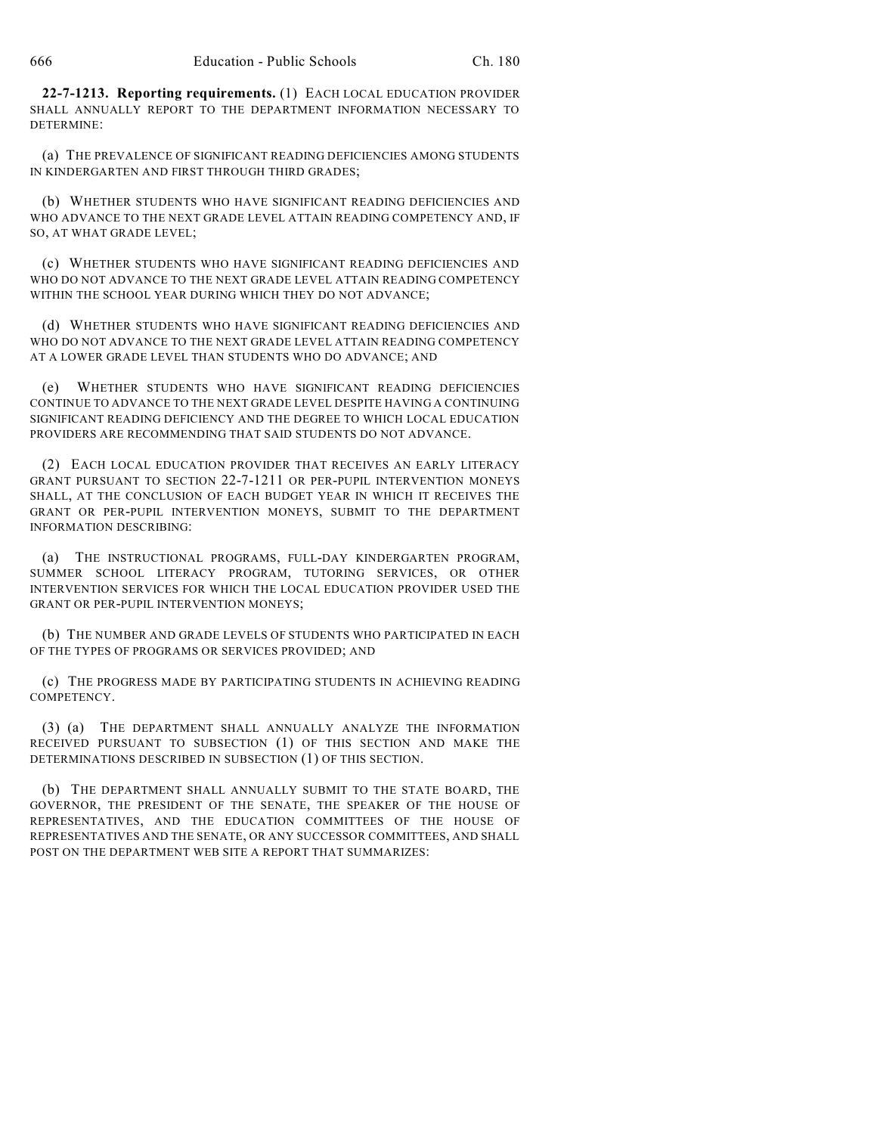**22-7-1213. Reporting requirements.** (1) EACH LOCAL EDUCATION PROVIDER SHALL ANNUALLY REPORT TO THE DEPARTMENT INFORMATION NECESSARY TO DETERMINE:

(a) THE PREVALENCE OF SIGNIFICANT READING DEFICIENCIES AMONG STUDENTS IN KINDERGARTEN AND FIRST THROUGH THIRD GRADES;

(b) WHETHER STUDENTS WHO HAVE SIGNIFICANT READING DEFICIENCIES AND WHO ADVANCE TO THE NEXT GRADE LEVEL ATTAIN READING COMPETENCY AND, IF SO, AT WHAT GRADE LEVEL;

(c) WHETHER STUDENTS WHO HAVE SIGNIFICANT READING DEFICIENCIES AND WHO DO NOT ADVANCE TO THE NEXT GRADE LEVEL ATTAIN READING COMPETENCY WITHIN THE SCHOOL YEAR DURING WHICH THEY DO NOT ADVANCE;

(d) WHETHER STUDENTS WHO HAVE SIGNIFICANT READING DEFICIENCIES AND WHO DO NOT ADVANCE TO THE NEXT GRADE LEVEL ATTAIN READING COMPETENCY AT A LOWER GRADE LEVEL THAN STUDENTS WHO DO ADVANCE; AND

(e) WHETHER STUDENTS WHO HAVE SIGNIFICANT READING DEFICIENCIES CONTINUE TO ADVANCE TO THE NEXT GRADE LEVEL DESPITE HAVING A CONTINUING SIGNIFICANT READING DEFICIENCY AND THE DEGREE TO WHICH LOCAL EDUCATION PROVIDERS ARE RECOMMENDING THAT SAID STUDENTS DO NOT ADVANCE.

(2) EACH LOCAL EDUCATION PROVIDER THAT RECEIVES AN EARLY LITERACY GRANT PURSUANT TO SECTION 22-7-1211 OR PER-PUPIL INTERVENTION MONEYS SHALL, AT THE CONCLUSION OF EACH BUDGET YEAR IN WHICH IT RECEIVES THE GRANT OR PER-PUPIL INTERVENTION MONEYS, SUBMIT TO THE DEPARTMENT INFORMATION DESCRIBING:

(a) THE INSTRUCTIONAL PROGRAMS, FULL-DAY KINDERGARTEN PROGRAM, SUMMER SCHOOL LITERACY PROGRAM, TUTORING SERVICES, OR OTHER INTERVENTION SERVICES FOR WHICH THE LOCAL EDUCATION PROVIDER USED THE GRANT OR PER-PUPIL INTERVENTION MONEYS;

(b) THE NUMBER AND GRADE LEVELS OF STUDENTS WHO PARTICIPATED IN EACH OF THE TYPES OF PROGRAMS OR SERVICES PROVIDED; AND

(c) THE PROGRESS MADE BY PARTICIPATING STUDENTS IN ACHIEVING READING COMPETENCY.

(3) (a) THE DEPARTMENT SHALL ANNUALLY ANALYZE THE INFORMATION RECEIVED PURSUANT TO SUBSECTION (1) OF THIS SECTION AND MAKE THE DETERMINATIONS DESCRIBED IN SUBSECTION (1) OF THIS SECTION.

(b) THE DEPARTMENT SHALL ANNUALLY SUBMIT TO THE STATE BOARD, THE GOVERNOR, THE PRESIDENT OF THE SENATE, THE SPEAKER OF THE HOUSE OF REPRESENTATIVES, AND THE EDUCATION COMMITTEES OF THE HOUSE OF REPRESENTATIVES AND THE SENATE, OR ANY SUCCESSOR COMMITTEES, AND SHALL POST ON THE DEPARTMENT WEB SITE A REPORT THAT SUMMARIZES: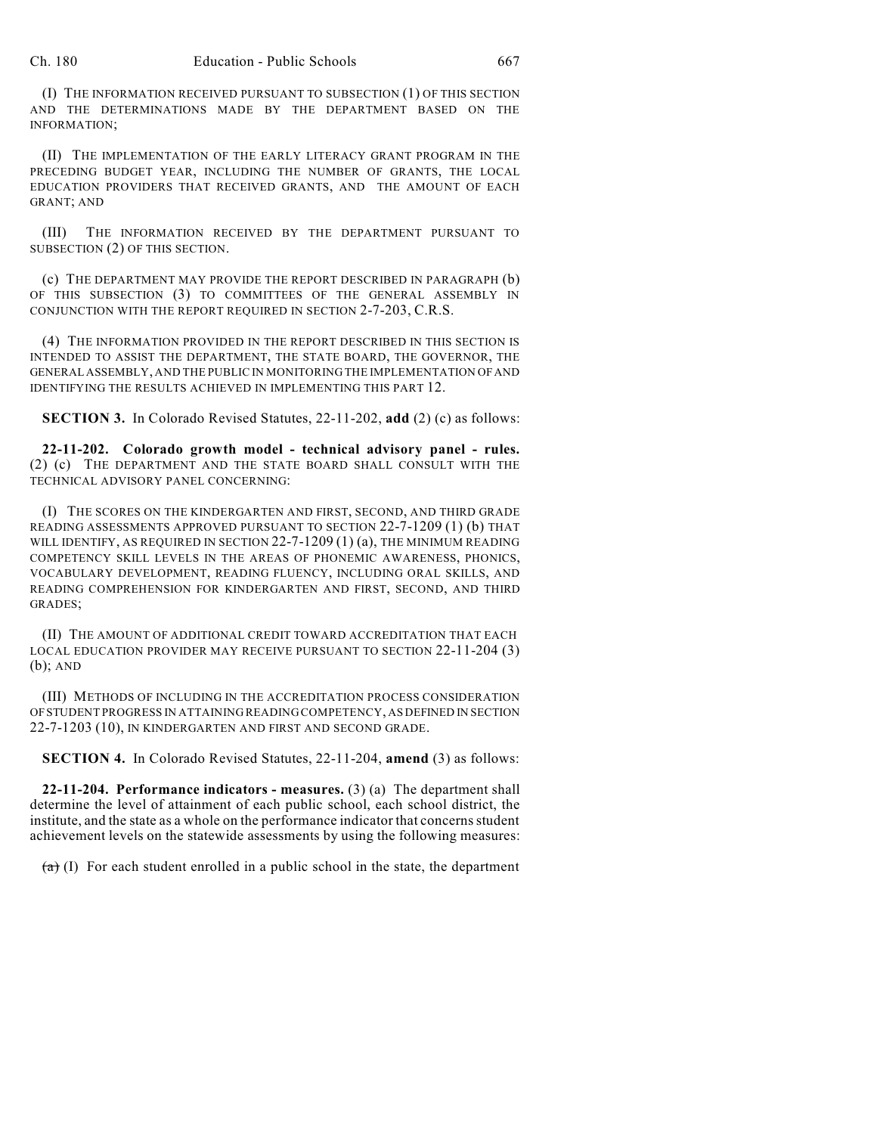(I) THE INFORMATION RECEIVED PURSUANT TO SUBSECTION (1) OF THIS SECTION AND THE DETERMINATIONS MADE BY THE DEPARTMENT BASED ON THE INFORMATION;

(II) THE IMPLEMENTATION OF THE EARLY LITERACY GRANT PROGRAM IN THE PRECEDING BUDGET YEAR, INCLUDING THE NUMBER OF GRANTS, THE LOCAL EDUCATION PROVIDERS THAT RECEIVED GRANTS, AND THE AMOUNT OF EACH GRANT; AND

(III) THE INFORMATION RECEIVED BY THE DEPARTMENT PURSUANT TO SUBSECTION (2) OF THIS SECTION.

(c) THE DEPARTMENT MAY PROVIDE THE REPORT DESCRIBED IN PARAGRAPH (b) OF THIS SUBSECTION (3) TO COMMITTEES OF THE GENERAL ASSEMBLY IN CONJUNCTION WITH THE REPORT REQUIRED IN SECTION 2-7-203, C.R.S.

(4) THE INFORMATION PROVIDED IN THE REPORT DESCRIBED IN THIS SECTION IS INTENDED TO ASSIST THE DEPARTMENT, THE STATE BOARD, THE GOVERNOR, THE GENERAL ASSEMBLY, AND THE PUBLIC IN MONITORING THE IMPLEMENTATION OFAND IDENTIFYING THE RESULTS ACHIEVED IN IMPLEMENTING THIS PART 12.

**SECTION 3.** In Colorado Revised Statutes, 22-11-202, **add** (2) (c) as follows:

**22-11-202. Colorado growth model - technical advisory panel - rules.** (2) (c) THE DEPARTMENT AND THE STATE BOARD SHALL CONSULT WITH THE TECHNICAL ADVISORY PANEL CONCERNING:

(I) THE SCORES ON THE KINDERGARTEN AND FIRST, SECOND, AND THIRD GRADE READING ASSESSMENTS APPROVED PURSUANT TO SECTION 22-7-1209 (1) (b) THAT WILL IDENTIFY, AS REQUIRED IN SECTION 22-7-1209 (1) (a), THE MINIMUM READING COMPETENCY SKILL LEVELS IN THE AREAS OF PHONEMIC AWARENESS, PHONICS, VOCABULARY DEVELOPMENT, READING FLUENCY, INCLUDING ORAL SKILLS, AND READING COMPREHENSION FOR KINDERGARTEN AND FIRST, SECOND, AND THIRD GRADES;

(II) THE AMOUNT OF ADDITIONAL CREDIT TOWARD ACCREDITATION THAT EACH LOCAL EDUCATION PROVIDER MAY RECEIVE PURSUANT TO SECTION 22-11-204 (3) (b); AND

(III) METHODS OF INCLUDING IN THE ACCREDITATION PROCESS CONSIDERATION OFSTUDENT PROGRESS IN ATTAINING READING COMPETENCY, AS DEFINED IN SECTION 22-7-1203 (10), IN KINDERGARTEN AND FIRST AND SECOND GRADE.

**SECTION 4.** In Colorado Revised Statutes, 22-11-204, **amend** (3) as follows:

**22-11-204. Performance indicators - measures.** (3) (a) The department shall determine the level of attainment of each public school, each school district, the institute, and the state as a whole on the performance indicator that concerns student achievement levels on the statewide assessments by using the following measures:

 $(a)$  (I) For each student enrolled in a public school in the state, the department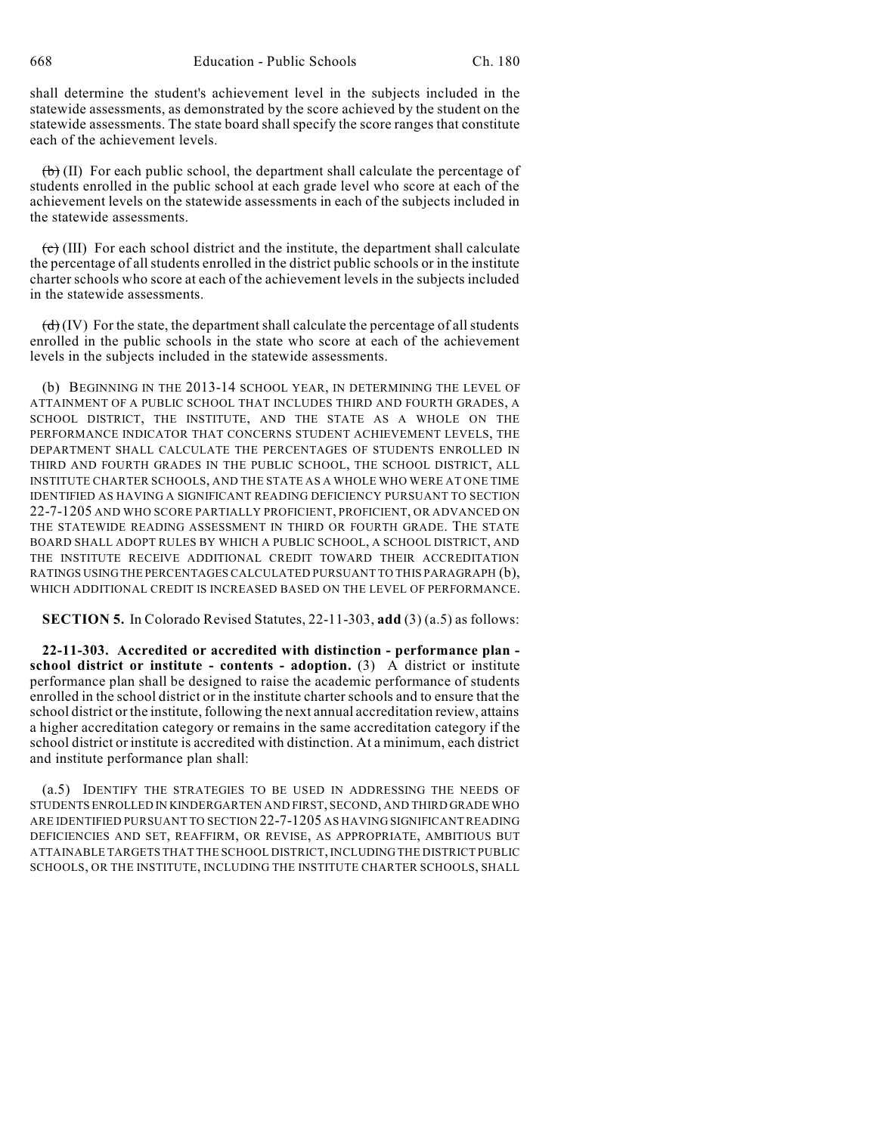shall determine the student's achievement level in the subjects included in the statewide assessments, as demonstrated by the score achieved by the student on the statewide assessments. The state board shall specify the score ranges that constitute each of the achievement levels.

 $(b)$  (II) For each public school, the department shall calculate the percentage of students enrolled in the public school at each grade level who score at each of the achievement levels on the statewide assessments in each of the subjects included in the statewide assessments.

 $\overline{(c)}$  (III) For each school district and the institute, the department shall calculate the percentage of allstudents enrolled in the district public schools or in the institute charter schools who score at each of the achievement levels in the subjects included in the statewide assessments.

 $\left(\frac{d}{d}\right)$  (IV) For the state, the department shall calculate the percentage of all students enrolled in the public schools in the state who score at each of the achievement levels in the subjects included in the statewide assessments.

(b) BEGINNING IN THE 2013-14 SCHOOL YEAR, IN DETERMINING THE LEVEL OF ATTAINMENT OF A PUBLIC SCHOOL THAT INCLUDES THIRD AND FOURTH GRADES, A SCHOOL DISTRICT, THE INSTITUTE, AND THE STATE AS A WHOLE ON THE PERFORMANCE INDICATOR THAT CONCERNS STUDENT ACHIEVEMENT LEVELS, THE DEPARTMENT SHALL CALCULATE THE PERCENTAGES OF STUDENTS ENROLLED IN THIRD AND FOURTH GRADES IN THE PUBLIC SCHOOL, THE SCHOOL DISTRICT, ALL INSTITUTE CHARTER SCHOOLS, AND THE STATE AS A WHOLE WHO WERE AT ONE TIME IDENTIFIED AS HAVING A SIGNIFICANT READING DEFICIENCY PURSUANT TO SECTION 22-7-1205 AND WHO SCORE PARTIALLY PROFICIENT, PROFICIENT, OR ADVANCED ON THE STATEWIDE READING ASSESSMENT IN THIRD OR FOURTH GRADE. THE STATE BOARD SHALL ADOPT RULES BY WHICH A PUBLIC SCHOOL, A SCHOOL DISTRICT, AND THE INSTITUTE RECEIVE ADDITIONAL CREDIT TOWARD THEIR ACCREDITATION RATINGS USINGTHE PERCENTAGES CALCULATED PURSUANT TO THIS PARAGRAPH (b), WHICH ADDITIONAL CREDIT IS INCREASED BASED ON THE LEVEL OF PERFORMANCE.

**SECTION 5.** In Colorado Revised Statutes, 22-11-303, **add** (3) (a.5) as follows:

**22-11-303. Accredited or accredited with distinction - performance plan school district or institute - contents - adoption.** (3) A district or institute performance plan shall be designed to raise the academic performance of students enrolled in the school district or in the institute charter schools and to ensure that the school district or the institute, following the next annual accreditation review, attains a higher accreditation category or remains in the same accreditation category if the school district or institute is accredited with distinction. At a minimum, each district and institute performance plan shall:

(a.5) IDENTIFY THE STRATEGIES TO BE USED IN ADDRESSING THE NEEDS OF STUDENTS ENROLLED IN KINDERGARTEN AND FIRST, SECOND, AND THIRD GRADE WHO ARE IDENTIFIED PURSUANT TO SECTION 22-7-1205 AS HAVING SIGNIFICANT READING DEFICIENCIES AND SET, REAFFIRM, OR REVISE, AS APPROPRIATE, AMBITIOUS BUT ATTAINABLE TARGETS THAT THE SCHOOL DISTRICT, INCLUDING THE DISTRICT PUBLIC SCHOOLS, OR THE INSTITUTE, INCLUDING THE INSTITUTE CHARTER SCHOOLS, SHALL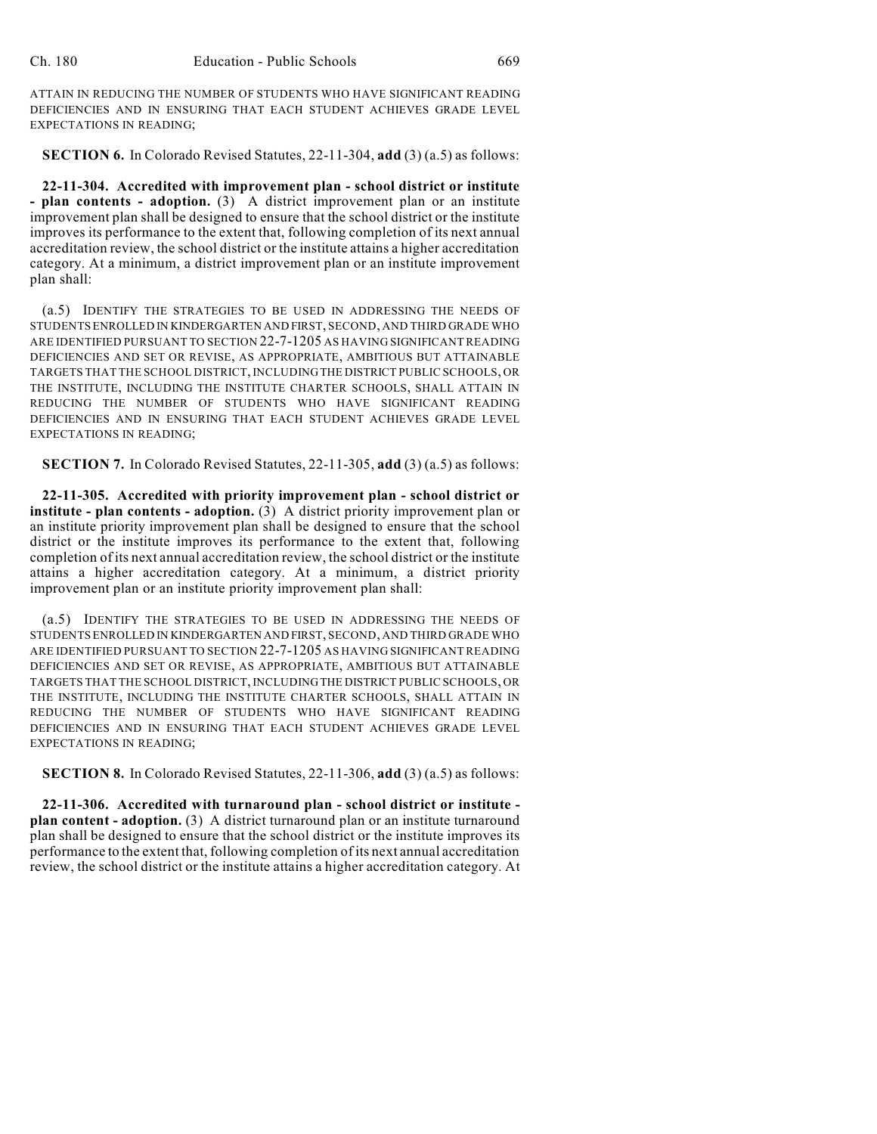ATTAIN IN REDUCING THE NUMBER OF STUDENTS WHO HAVE SIGNIFICANT READING DEFICIENCIES AND IN ENSURING THAT EACH STUDENT ACHIEVES GRADE LEVEL EXPECTATIONS IN READING;

**SECTION 6.** In Colorado Revised Statutes, 22-11-304, **add** (3) (a.5) as follows:

**22-11-304. Accredited with improvement plan - school district or institute - plan contents - adoption.** (3) A district improvement plan or an institute improvement plan shall be designed to ensure that the school district or the institute improves its performance to the extent that, following completion of its next annual accreditation review, the school district or the institute attains a higher accreditation category. At a minimum, a district improvement plan or an institute improvement plan shall:

(a.5) IDENTIFY THE STRATEGIES TO BE USED IN ADDRESSING THE NEEDS OF STUDENTS ENROLLED IN KINDERGARTEN AND FIRST, SECOND, AND THIRD GRADE WHO ARE IDENTIFIED PURSUANT TO SECTION 22-7-1205 AS HAVING SIGNIFICANT READING DEFICIENCIES AND SET OR REVISE, AS APPROPRIATE, AMBITIOUS BUT ATTAINABLE TARGETS THAT THE SCHOOL DISTRICT, INCLUDINGTHE DISTRICT PUBLIC SCHOOLS, OR THE INSTITUTE, INCLUDING THE INSTITUTE CHARTER SCHOOLS, SHALL ATTAIN IN REDUCING THE NUMBER OF STUDENTS WHO HAVE SIGNIFICANT READING DEFICIENCIES AND IN ENSURING THAT EACH STUDENT ACHIEVES GRADE LEVEL EXPECTATIONS IN READING;

**SECTION 7.** In Colorado Revised Statutes, 22-11-305, **add** (3) (a.5) as follows:

**22-11-305. Accredited with priority improvement plan - school district or institute - plan contents - adoption.** (3) A district priority improvement plan or an institute priority improvement plan shall be designed to ensure that the school district or the institute improves its performance to the extent that, following completion of its next annual accreditation review, the school district or the institute attains a higher accreditation category. At a minimum, a district priority improvement plan or an institute priority improvement plan shall:

(a.5) IDENTIFY THE STRATEGIES TO BE USED IN ADDRESSING THE NEEDS OF STUDENTS ENROLLED IN KINDERGARTEN AND FIRST, SECOND, AND THIRD GRADE WHO ARE IDENTIFIED PURSUANT TO SECTION 22-7-1205 AS HAVING SIGNIFICANT READING DEFICIENCIES AND SET OR REVISE, AS APPROPRIATE, AMBITIOUS BUT ATTAINABLE TARGETS THAT THE SCHOOL DISTRICT, INCLUDINGTHE DISTRICT PUBLIC SCHOOLS, OR THE INSTITUTE, INCLUDING THE INSTITUTE CHARTER SCHOOLS, SHALL ATTAIN IN REDUCING THE NUMBER OF STUDENTS WHO HAVE SIGNIFICANT READING DEFICIENCIES AND IN ENSURING THAT EACH STUDENT ACHIEVES GRADE LEVEL EXPECTATIONS IN READING;

**SECTION 8.** In Colorado Revised Statutes, 22-11-306, **add** (3) (a.5) as follows:

**22-11-306. Accredited with turnaround plan - school district or institute plan content - adoption.** (3) A district turnaround plan or an institute turnaround plan shall be designed to ensure that the school district or the institute improves its performance to the extent that, following completion of its next annual accreditation review, the school district or the institute attains a higher accreditation category. At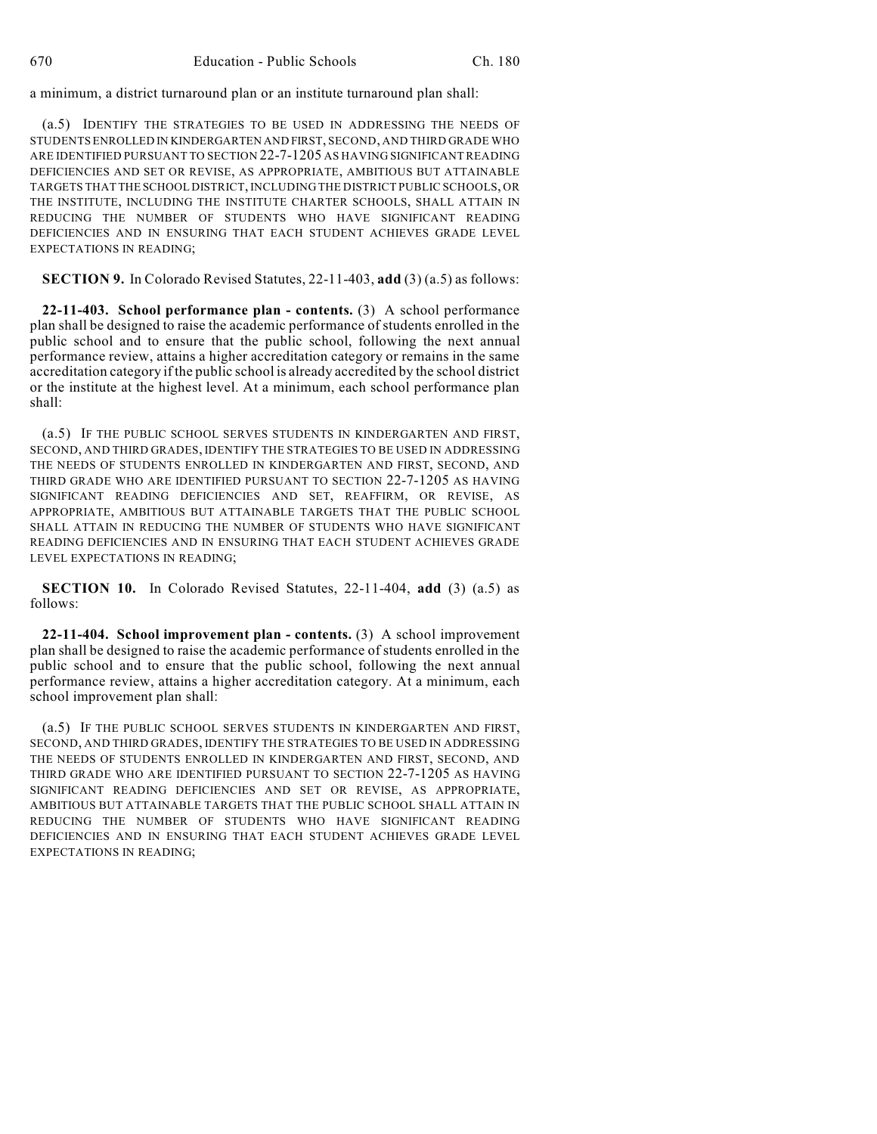a minimum, a district turnaround plan or an institute turnaround plan shall:

(a.5) IDENTIFY THE STRATEGIES TO BE USED IN ADDRESSING THE NEEDS OF STUDENTS ENROLLED IN KINDERGARTEN AND FIRST, SECOND, AND THIRD GRADE WHO ARE IDENTIFIED PURSUANT TO SECTION 22-7-1205 AS HAVING SIGNIFICANT READING DEFICIENCIES AND SET OR REVISE, AS APPROPRIATE, AMBITIOUS BUT ATTAINABLE TARGETS THAT THE SCHOOL DISTRICT,INCLUDING THE DISTRICT PUBLIC SCHOOLS, OR THE INSTITUTE, INCLUDING THE INSTITUTE CHARTER SCHOOLS, SHALL ATTAIN IN REDUCING THE NUMBER OF STUDENTS WHO HAVE SIGNIFICANT READING DEFICIENCIES AND IN ENSURING THAT EACH STUDENT ACHIEVES GRADE LEVEL EXPECTATIONS IN READING;

**SECTION 9.** In Colorado Revised Statutes, 22-11-403, **add** (3) (a.5) as follows:

**22-11-403. School performance plan - contents.** (3) A school performance plan shall be designed to raise the academic performance of students enrolled in the public school and to ensure that the public school, following the next annual performance review, attains a higher accreditation category or remains in the same accreditation category if the public school is already accredited by the school district or the institute at the highest level. At a minimum, each school performance plan shall:

(a.5) IF THE PUBLIC SCHOOL SERVES STUDENTS IN KINDERGARTEN AND FIRST, SECOND, AND THIRD GRADES, IDENTIFY THE STRATEGIES TO BE USED IN ADDRESSING THE NEEDS OF STUDENTS ENROLLED IN KINDERGARTEN AND FIRST, SECOND, AND THIRD GRADE WHO ARE IDENTIFIED PURSUANT TO SECTION 22-7-1205 AS HAVING SIGNIFICANT READING DEFICIENCIES AND SET, REAFFIRM, OR REVISE, AS APPROPRIATE, AMBITIOUS BUT ATTAINABLE TARGETS THAT THE PUBLIC SCHOOL SHALL ATTAIN IN REDUCING THE NUMBER OF STUDENTS WHO HAVE SIGNIFICANT READING DEFICIENCIES AND IN ENSURING THAT EACH STUDENT ACHIEVES GRADE LEVEL EXPECTATIONS IN READING;

**SECTION 10.** In Colorado Revised Statutes, 22-11-404, **add** (3) (a.5) as follows:

**22-11-404. School improvement plan - contents.** (3) A school improvement plan shall be designed to raise the academic performance of students enrolled in the public school and to ensure that the public school, following the next annual performance review, attains a higher accreditation category. At a minimum, each school improvement plan shall:

(a.5) IF THE PUBLIC SCHOOL SERVES STUDENTS IN KINDERGARTEN AND FIRST, SECOND, AND THIRD GRADES, IDENTIFY THE STRATEGIES TO BE USED IN ADDRESSING THE NEEDS OF STUDENTS ENROLLED IN KINDERGARTEN AND FIRST, SECOND, AND THIRD GRADE WHO ARE IDENTIFIED PURSUANT TO SECTION 22-7-1205 AS HAVING SIGNIFICANT READING DEFICIENCIES AND SET OR REVISE, AS APPROPRIATE, AMBITIOUS BUT ATTAINABLE TARGETS THAT THE PUBLIC SCHOOL SHALL ATTAIN IN REDUCING THE NUMBER OF STUDENTS WHO HAVE SIGNIFICANT READING DEFICIENCIES AND IN ENSURING THAT EACH STUDENT ACHIEVES GRADE LEVEL EXPECTATIONS IN READING;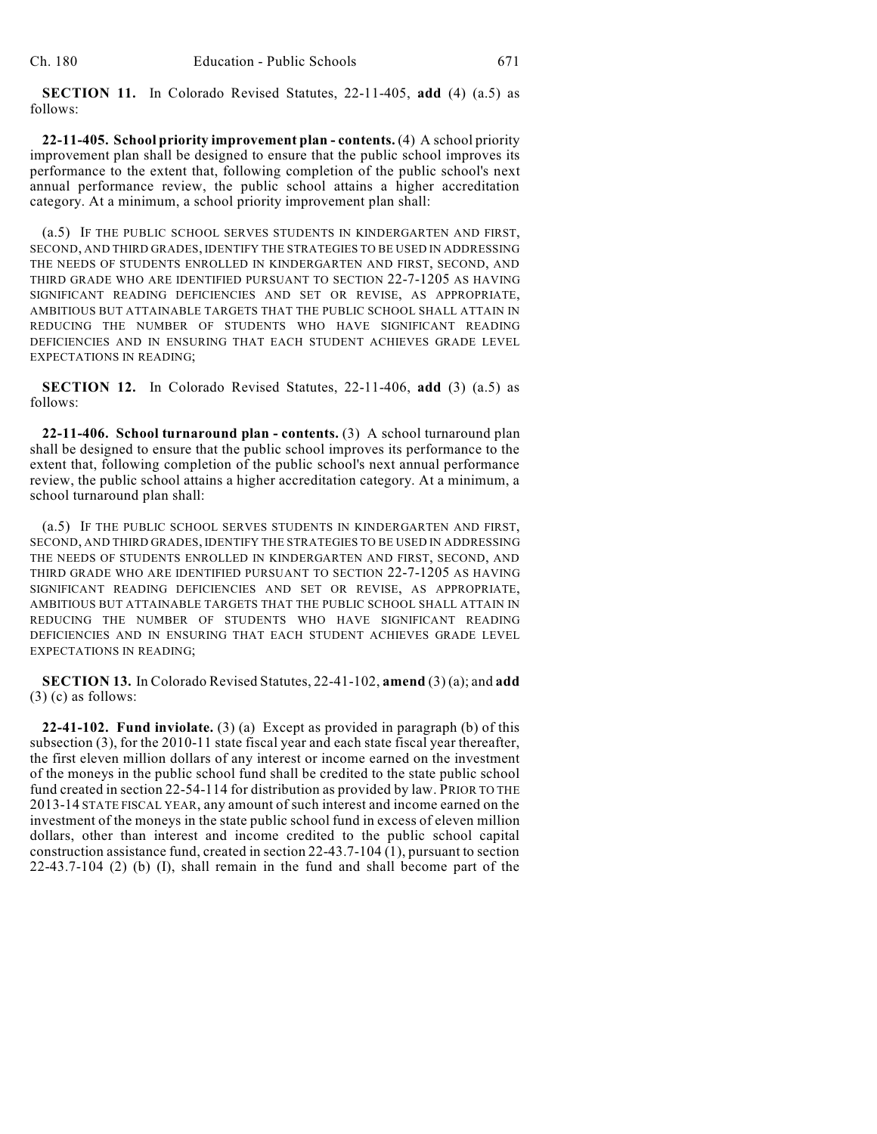**SECTION 11.** In Colorado Revised Statutes, 22-11-405, **add** (4) (a.5) as follows:

**22-11-405. School priority improvement plan - contents.** (4) A school priority improvement plan shall be designed to ensure that the public school improves its performance to the extent that, following completion of the public school's next annual performance review, the public school attains a higher accreditation category. At a minimum, a school priority improvement plan shall:

(a.5) IF THE PUBLIC SCHOOL SERVES STUDENTS IN KINDERGARTEN AND FIRST, SECOND, AND THIRD GRADES, IDENTIFY THE STRATEGIES TO BE USED IN ADDRESSING THE NEEDS OF STUDENTS ENROLLED IN KINDERGARTEN AND FIRST, SECOND, AND THIRD GRADE WHO ARE IDENTIFIED PURSUANT TO SECTION 22-7-1205 AS HAVING SIGNIFICANT READING DEFICIENCIES AND SET OR REVISE, AS APPROPRIATE, AMBITIOUS BUT ATTAINABLE TARGETS THAT THE PUBLIC SCHOOL SHALL ATTAIN IN REDUCING THE NUMBER OF STUDENTS WHO HAVE SIGNIFICANT READING DEFICIENCIES AND IN ENSURING THAT EACH STUDENT ACHIEVES GRADE LEVEL EXPECTATIONS IN READING;

**SECTION 12.** In Colorado Revised Statutes, 22-11-406, **add** (3) (a.5) as follows:

**22-11-406. School turnaround plan - contents.** (3) A school turnaround plan shall be designed to ensure that the public school improves its performance to the extent that, following completion of the public school's next annual performance review, the public school attains a higher accreditation category. At a minimum, a school turnaround plan shall:

(a.5) IF THE PUBLIC SCHOOL SERVES STUDENTS IN KINDERGARTEN AND FIRST, SECOND, AND THIRD GRADES, IDENTIFY THE STRATEGIES TO BE USED IN ADDRESSING THE NEEDS OF STUDENTS ENROLLED IN KINDERGARTEN AND FIRST, SECOND, AND THIRD GRADE WHO ARE IDENTIFIED PURSUANT TO SECTION 22-7-1205 AS HAVING SIGNIFICANT READING DEFICIENCIES AND SET OR REVISE, AS APPROPRIATE, AMBITIOUS BUT ATTAINABLE TARGETS THAT THE PUBLIC SCHOOL SHALL ATTAIN IN REDUCING THE NUMBER OF STUDENTS WHO HAVE SIGNIFICANT READING DEFICIENCIES AND IN ENSURING THAT EACH STUDENT ACHIEVES GRADE LEVEL EXPECTATIONS IN READING;

**SECTION 13.** In Colorado Revised Statutes, 22-41-102, **amend** (3) (a); and **add** (3) (c) as follows:

**22-41-102. Fund inviolate.** (3) (a) Except as provided in paragraph (b) of this subsection (3), for the 2010-11 state fiscal year and each state fiscal year thereafter, the first eleven million dollars of any interest or income earned on the investment of the moneys in the public school fund shall be credited to the state public school fund created in section 22-54-114 for distribution as provided by law. PRIOR TO THE 2013-14 STATE FISCAL YEAR, any amount of such interest and income earned on the investment of the moneys in the state public school fund in excess of eleven million dollars, other than interest and income credited to the public school capital construction assistance fund, created in section  $22-43.7-104(1)$ , pursuant to section 22-43.7-104 (2) (b) (I), shall remain in the fund and shall become part of the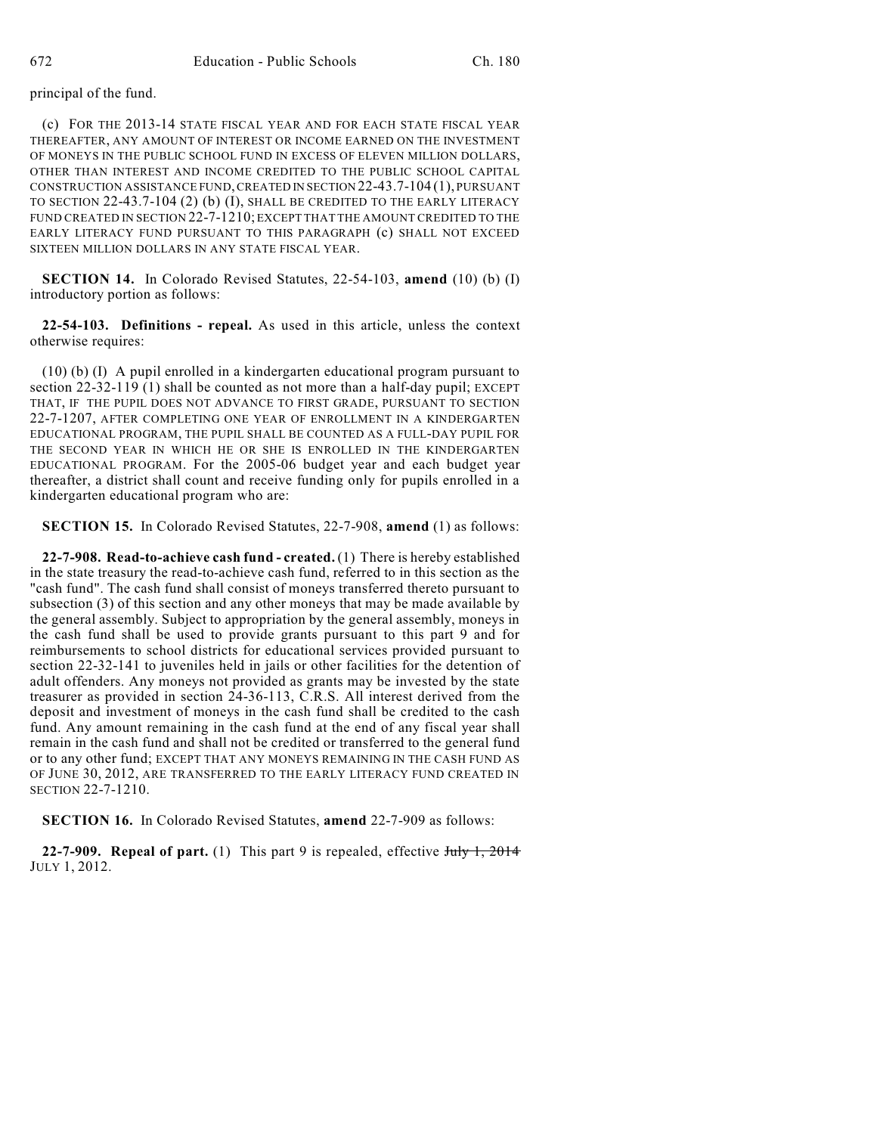### principal of the fund.

(c) FOR THE 2013-14 STATE FISCAL YEAR AND FOR EACH STATE FISCAL YEAR THEREAFTER, ANY AMOUNT OF INTEREST OR INCOME EARNED ON THE INVESTMENT OF MONEYS IN THE PUBLIC SCHOOL FUND IN EXCESS OF ELEVEN MILLION DOLLARS, OTHER THAN INTEREST AND INCOME CREDITED TO THE PUBLIC SCHOOL CAPITAL CONSTRUCTION ASSISTANCE FUND,CREATED IN SECTION 22-43.7-104 (1), PURSUANT TO SECTION 22-43.7-104 (2) (b) (I), SHALL BE CREDITED TO THE EARLY LITERACY FUND CREATED IN SECTION 22-7-1210; EXCEPT THAT THE AMOUNT CREDITED TO THE EARLY LITERACY FUND PURSUANT TO THIS PARAGRAPH (c) SHALL NOT EXCEED SIXTEEN MILLION DOLLARS IN ANY STATE FISCAL YEAR.

**SECTION 14.** In Colorado Revised Statutes, 22-54-103, **amend** (10) (b) (I) introductory portion as follows:

**22-54-103. Definitions - repeal.** As used in this article, unless the context otherwise requires:

(10) (b) (I) A pupil enrolled in a kindergarten educational program pursuant to section 22-32-119 (1) shall be counted as not more than a half-day pupil; EXCEPT THAT, IF THE PUPIL DOES NOT ADVANCE TO FIRST GRADE, PURSUANT TO SECTION 22-7-1207, AFTER COMPLETING ONE YEAR OF ENROLLMENT IN A KINDERGARTEN EDUCATIONAL PROGRAM, THE PUPIL SHALL BE COUNTED AS A FULL-DAY PUPIL FOR THE SECOND YEAR IN WHICH HE OR SHE IS ENROLLED IN THE KINDERGARTEN EDUCATIONAL PROGRAM. For the 2005-06 budget year and each budget year thereafter, a district shall count and receive funding only for pupils enrolled in a kindergarten educational program who are:

**SECTION 15.** In Colorado Revised Statutes, 22-7-908, **amend** (1) as follows:

**22-7-908. Read-to-achieve cash fund - created.** (1) There is hereby established in the state treasury the read-to-achieve cash fund, referred to in this section as the "cash fund". The cash fund shall consist of moneys transferred thereto pursuant to subsection (3) of this section and any other moneys that may be made available by the general assembly. Subject to appropriation by the general assembly, moneys in the cash fund shall be used to provide grants pursuant to this part 9 and for reimbursements to school districts for educational services provided pursuant to section 22-32-141 to juveniles held in jails or other facilities for the detention of adult offenders. Any moneys not provided as grants may be invested by the state treasurer as provided in section 24-36-113, C.R.S. All interest derived from the deposit and investment of moneys in the cash fund shall be credited to the cash fund. Any amount remaining in the cash fund at the end of any fiscal year shall remain in the cash fund and shall not be credited or transferred to the general fund or to any other fund; EXCEPT THAT ANY MONEYS REMAINING IN THE CASH FUND AS OF JUNE 30, 2012, ARE TRANSFERRED TO THE EARLY LITERACY FUND CREATED IN SECTION 22-7-1210.

**SECTION 16.** In Colorado Revised Statutes, **amend** 22-7-909 as follows:

**22-7-909. Repeal of part.** (1) This part 9 is repealed, effective July 1, 2014 JULY 1, 2012.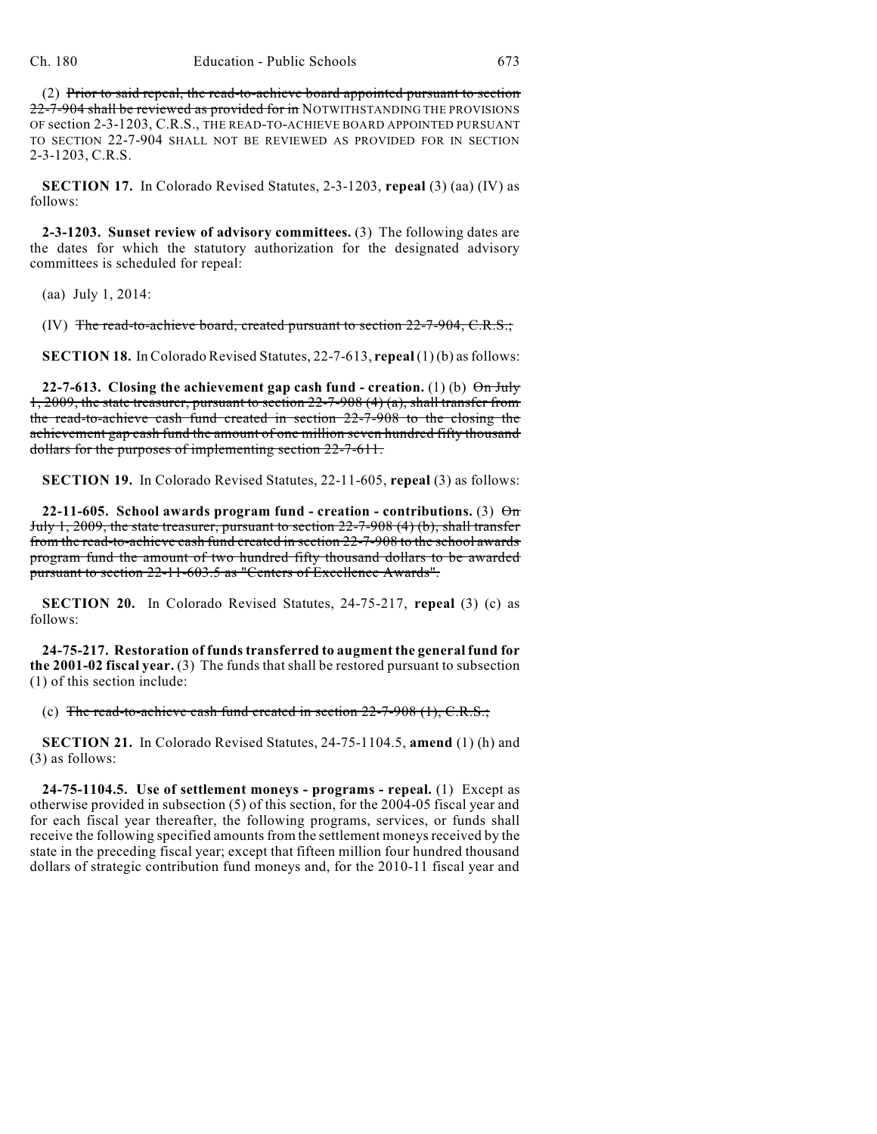(2) Prior to said repeal, the read-to-achieve board appointed pursuant to section 22-7-904 shall be reviewed as provided for in NOTWITHSTANDING THE PROVISIONS OF section 2-3-1203, C.R.S., THE READ-TO-ACHIEVE BOARD APPOINTED PURSUANT TO SECTION 22-7-904 SHALL NOT BE REVIEWED AS PROVIDED FOR IN SECTION 2-3-1203, C.R.S.

**SECTION 17.** In Colorado Revised Statutes, 2-3-1203, **repeal** (3) (aa) (IV) as follows:

**2-3-1203. Sunset review of advisory committees.** (3) The following dates are the dates for which the statutory authorization for the designated advisory committees is scheduled for repeal:

(aa) July 1, 2014:

(IV) The read-to-achieve board, created pursuant to section  $22$ -7-904, C.R.S.;

**SECTION 18.** In Colorado Revised Statutes, 22-7-613, **repeal** (1) (b) asfollows:

**22-7-613.** Closing the achievement gap cash fund - creation. (1) (b)  $\Theta$ n July 1, 2009, the state treasurer, pursuant to section 22-7-908 (4) (a), shall transfer from the read-to-achieve cash fund created in section 22-7-908 to the closing the achievement gap cash fund the amount of one million seven hundred fifty thousand dollars for the purposes of implementing section 22-7-611.

**SECTION 19.** In Colorado Revised Statutes, 22-11-605, **repeal** (3) as follows:

**22-11-605.** School awards program fund - creation - contributions. (3)  $\Theta$ m July 1, 2009, the state treasurer, pursuant to section 22-7-908 (4) (b), shall transfer from the read-to-achieve cash fund created in section 22-7-908 to the school awards program fund the amount of two hundred fifty thousand dollars to be awarded pursuant to section 22-11-603.5 as "Centers of Excellence Awards".

**SECTION 20.** In Colorado Revised Statutes, 24-75-217, **repeal** (3) (c) as follows:

**24-75-217. Restoration of fundstransferred to augment the general fund for the 2001-02 fiscal year.** (3) The funds that shall be restored pursuant to subsection (1) of this section include:

(c) The read-to-achieve cash fund created in section  $22$ -7-908 (1), C.R.S.;

**SECTION 21.** In Colorado Revised Statutes, 24-75-1104.5, **amend** (1) (h) and (3) as follows:

**24-75-1104.5. Use of settlement moneys - programs - repeal.** (1) Except as otherwise provided in subsection (5) of this section, for the 2004-05 fiscal year and for each fiscal year thereafter, the following programs, services, or funds shall receive the following specified amounts from the settlement moneys received by the state in the preceding fiscal year; except that fifteen million four hundred thousand dollars of strategic contribution fund moneys and, for the 2010-11 fiscal year and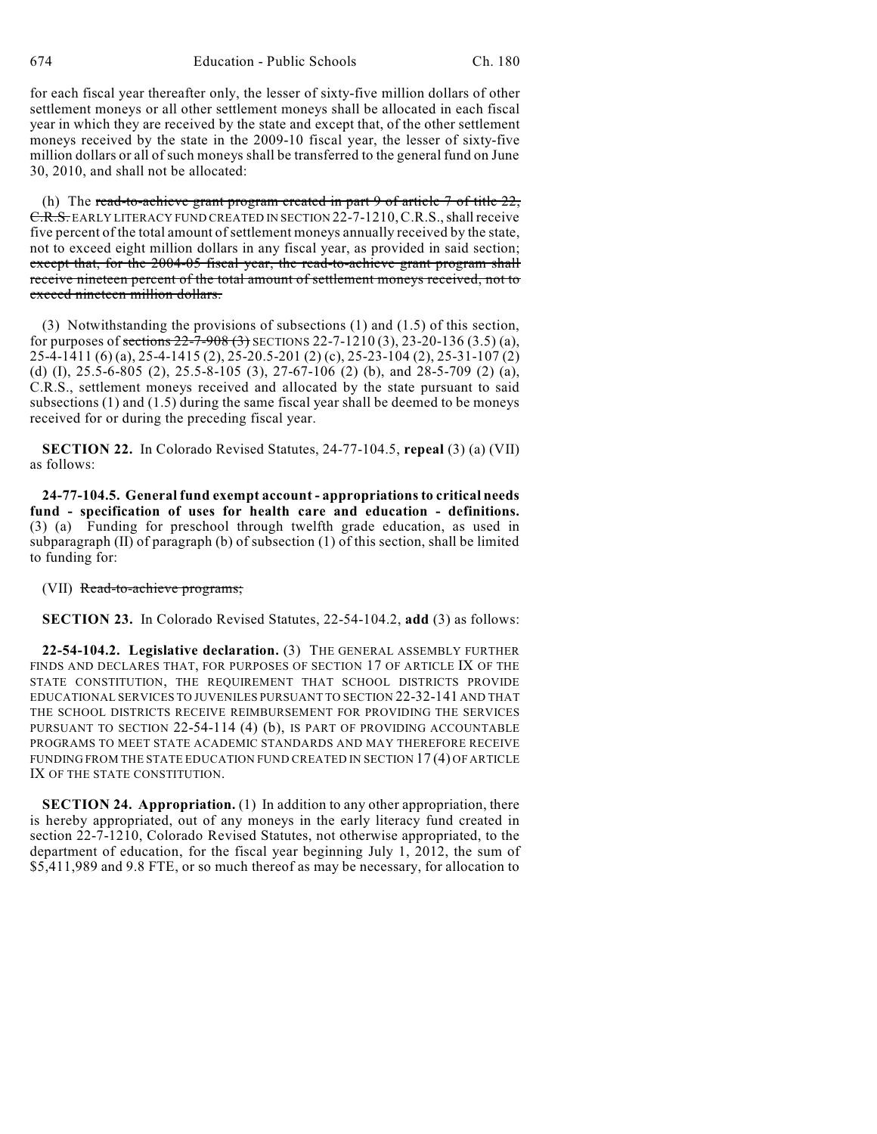674 Education - Public Schools Ch. 180

for each fiscal year thereafter only, the lesser of sixty-five million dollars of other settlement moneys or all other settlement moneys shall be allocated in each fiscal year in which they are received by the state and except that, of the other settlement moneys received by the state in the 2009-10 fiscal year, the lesser of sixty-five million dollars or all of such moneys shall be transferred to the general fund on June 30, 2010, and shall not be allocated:

(h) The read-to-achieve grant program created in part  $9$  of article  $7$  of title  $22$ , C.R.S. EARLY LITERACY FUND CREATED IN SECTION 22-7-1210,C.R.S., shall receive five percent of the total amount of settlement moneys annually received by the state, not to exceed eight million dollars in any fiscal year, as provided in said section; except that, for the 2004-05 fiscal year, the read-to-achieve grant program shall receive nineteen percent of the total amount of settlement moneys received, not to exceed nineteen million dollars.

(3) Notwithstanding the provisions of subsections (1) and (1.5) of this section, for purposes of sections  $22-7-908$  (3) SECTIONS 22-7-1210 (3), 23-20-136 (3.5) (a), 25-4-1411 (6) (a), 25-4-1415 (2), 25-20.5-201 (2) (c), 25-23-104 (2), 25-31-107 (2) (d) (I), 25.5-6-805 (2), 25.5-8-105 (3), 27-67-106 (2) (b), and 28-5-709 (2) (a), C.R.S., settlement moneys received and allocated by the state pursuant to said subsections (1) and (1.5) during the same fiscal year shall be deemed to be moneys received for or during the preceding fiscal year.

**SECTION 22.** In Colorado Revised Statutes, 24-77-104.5, **repeal** (3) (a) (VII) as follows:

**24-77-104.5. General fund exempt account - appropriations to critical needs fund - specification of uses for health care and education - definitions.** (3) (a) Funding for preschool through twelfth grade education, as used in subparagraph (II) of paragraph (b) of subsection (1) of this section, shall be limited to funding for:

#### (VII) Read-to-achieve programs;

**SECTION 23.** In Colorado Revised Statutes, 22-54-104.2, **add** (3) as follows:

**22-54-104.2. Legislative declaration.** (3) THE GENERAL ASSEMBLY FURTHER FINDS AND DECLARES THAT, FOR PURPOSES OF SECTION 17 OF ARTICLE IX OF THE STATE CONSTITUTION, THE REQUIREMENT THAT SCHOOL DISTRICTS PROVIDE EDUCATIONAL SERVICES TO JUVENILES PURSUANT TO SECTION 22-32-141 AND THAT THE SCHOOL DISTRICTS RECEIVE REIMBURSEMENT FOR PROVIDING THE SERVICES PURSUANT TO SECTION 22-54-114 (4) (b), IS PART OF PROVIDING ACCOUNTABLE PROGRAMS TO MEET STATE ACADEMIC STANDARDS AND MAY THEREFORE RECEIVE FUNDING FROM THE STATE EDUCATION FUND CREATED IN SECTION 17 (4) OF ARTICLE IX OF THE STATE CONSTITUTION.

**SECTION 24. Appropriation.** (1) In addition to any other appropriation, there is hereby appropriated, out of any moneys in the early literacy fund created in section 22-7-1210, Colorado Revised Statutes, not otherwise appropriated, to the department of education, for the fiscal year beginning July 1, 2012, the sum of \$5,411,989 and 9.8 FTE, or so much thereof as may be necessary, for allocation to